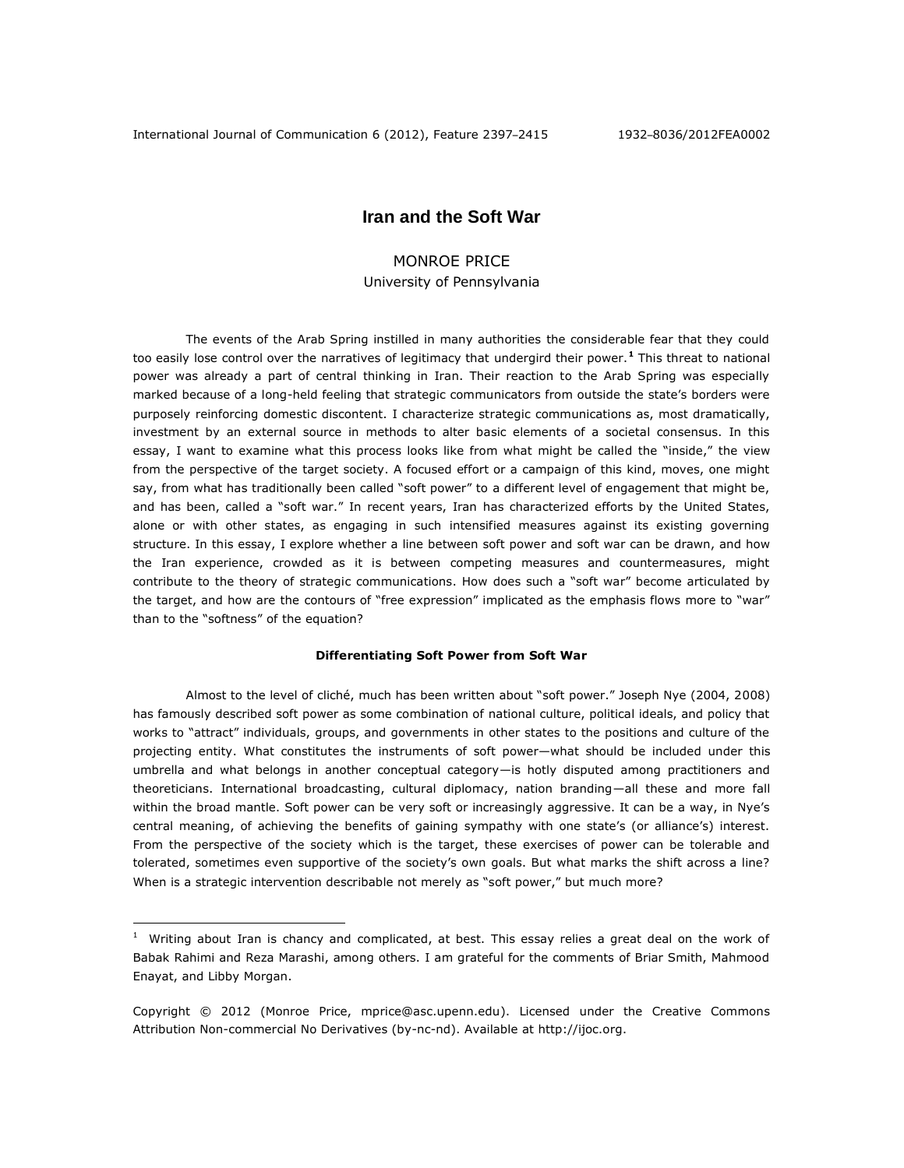# **Iran and the Soft War**

# MONROE PRICE

University of Pennsylvania

The events of the Arab Spring instilled in many authorities the considerable fear that they could too easily lose control over the narratives of legitimacy that undergird their power. **<sup>1</sup>** This threat to national power was already a part of central thinking in Iran. Their reaction to the Arab Spring was especially marked because of a long-held feeling that strategic communicators from outside the state's borders were purposely reinforcing domestic discontent. I characterize strategic communications as, most dramatically, investment by an external source in methods to alter basic elements of a societal consensus. In this essay, I want to examine what this process looks like from what might be called the "inside," the view from the perspective of the target society. A focused effort or a campaign of this kind, moves, one might say, from what has traditionally been called "soft power" to a different level of engagement that might be, and has been, called a "soft war." In recent years, Iran has characterized efforts by the United States, alone or with other states, as engaging in such intensified measures against its existing governing structure. In this essay, I explore whether a line between soft power and soft war can be drawn, and how the Iran experience, crowded as it is between competing measures and countermeasures, might contribute to the theory of strategic communications. How does such a "soft war" become articulated by the target, and how are the contours of "free expression" implicated as the emphasis flows more to "war" than to the "softness" of the equation?

# **Differentiating Soft Power from Soft War**

Almost to the level of cliché, much has been written about "soft power." Joseph Nye (2004, 2008) has famously described soft power as some combination of national culture, political ideals, and policy that works to "attract" individuals, groups, and governments in other states to the positions and culture of the projecting entity. What constitutes the instruments of soft power—what should be included under this umbrella and what belongs in another conceptual category—is hotly disputed among practitioners and theoreticians. International broadcasting, cultural diplomacy, nation branding—all these and more fall within the broad mantle. Soft power can be very soft or increasingly aggressive. It can be a way, in Nye's central meaning, of achieving the benefits of gaining sympathy with one state's (or alliance's) interest. From the perspective of the society which is the target, these exercises of power can be tolerable and tolerated, sometimes even supportive of the society's own goals. But what marks the shift across a line? When is a strategic intervention describable not merely as "soft power," but much more?

 $\overline{a}$ 

 $1$  Writing about Iran is chancy and complicated, at best. This essay relies a great deal on the work of Babak Rahimi and Reza Marashi, among others. I am grateful for the comments of Briar Smith, Mahmood Enayat, and Libby Morgan.

Copyright © 2012 (Monroe Price, mprice@asc.upenn.edu). Licensed under the Creative Commons Attribution Non-commercial No Derivatives (by-nc-nd). Available at http://ijoc.org.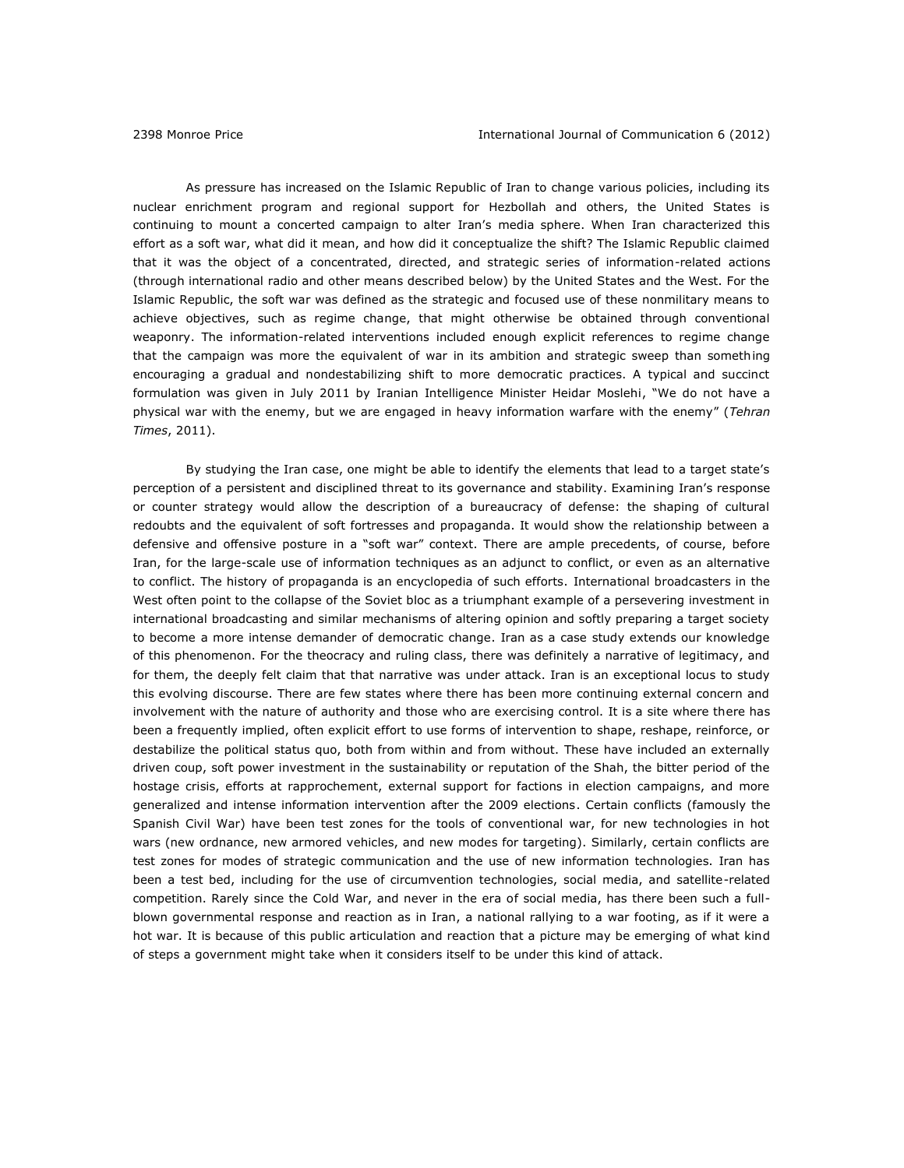As pressure has increased on the Islamic Republic of Iran to change various policies, including its nuclear enrichment program and regional support for Hezbollah and others, the United States is continuing to mount a concerted campaign to alter Iran's media sphere. When Iran characterized this effort as a soft war, what did it mean, and how did it conceptualize the shift? The Islamic Republic claimed that it was the object of a concentrated, directed, and strategic series of information-related actions (through international radio and other means described below) by the United States and the West. For the Islamic Republic, the soft war was defined as the strategic and focused use of these nonmilitary means to achieve objectives, such as regime change, that might otherwise be obtained through conventional weaponry. The information-related interventions included enough explicit references to regime change that the campaign was more the equivalent of war in its ambition and strategic sweep than something encouraging a gradual and nondestabilizing shift to more democratic practices. A typical and succinct formulation was given in July 2011 by Iranian Intelligence Minister Heidar Moslehi, "We do not have a physical war with the enemy, but we are engaged in heavy information warfare with the enemy" (*Tehran Times*, 2011).

By studying the Iran case, one might be able to identify the elements that lead to a target state's perception of a persistent and disciplined threat to its governance and stability. Examining Iran's response or counter strategy would allow the description of a bureaucracy of defense: the shaping of cultural redoubts and the equivalent of soft fortresses and propaganda. It would show the relationship between a defensive and offensive posture in a "soft war" context. There are ample precedents, of course, before Iran, for the large-scale use of information techniques as an adjunct to conflict, or even as an alternative to conflict. The history of propaganda is an encyclopedia of such efforts. International broadcasters in the West often point to the collapse of the Soviet bloc as a triumphant example of a persevering investment in international broadcasting and similar mechanisms of altering opinion and softly preparing a target society to become a more intense demander of democratic change. Iran as a case study extends our knowledge of this phenomenon. For the theocracy and ruling class, there was definitely a narrative of legitimacy, and for them, the deeply felt claim that that narrative was under attack. Iran is an exceptional locus to study this evolving discourse. There are few states where there has been more continuing external concern and involvement with the nature of authority and those who are exercising control. It is a site where there has been a frequently implied, often explicit effort to use forms of intervention to shape, reshape, reinforce, or destabilize the political status quo, both from within and from without. These have included an externally driven coup, soft power investment in the sustainability or reputation of the Shah, the bitter period of the hostage crisis, efforts at rapprochement, external support for factions in election campaigns, and more generalized and intense information intervention after the 2009 elections. Certain conflicts (famously the Spanish Civil War) have been test zones for the tools of conventional war, for new technologies in hot wars (new ordnance, new armored vehicles, and new modes for targeting). Similarly, certain conflicts are test zones for modes of strategic communication and the use of new information technologies. Iran has been a test bed, including for the use of circumvention technologies, social media, and satellite-related competition. Rarely since the Cold War, and never in the era of social media, has there been such a fullblown governmental response and reaction as in Iran, a national rallying to a war footing, as if it were a hot war. It is because of this public articulation and reaction that a picture may be emerging of what kind of steps a government might take when it considers itself to be under this kind of attack.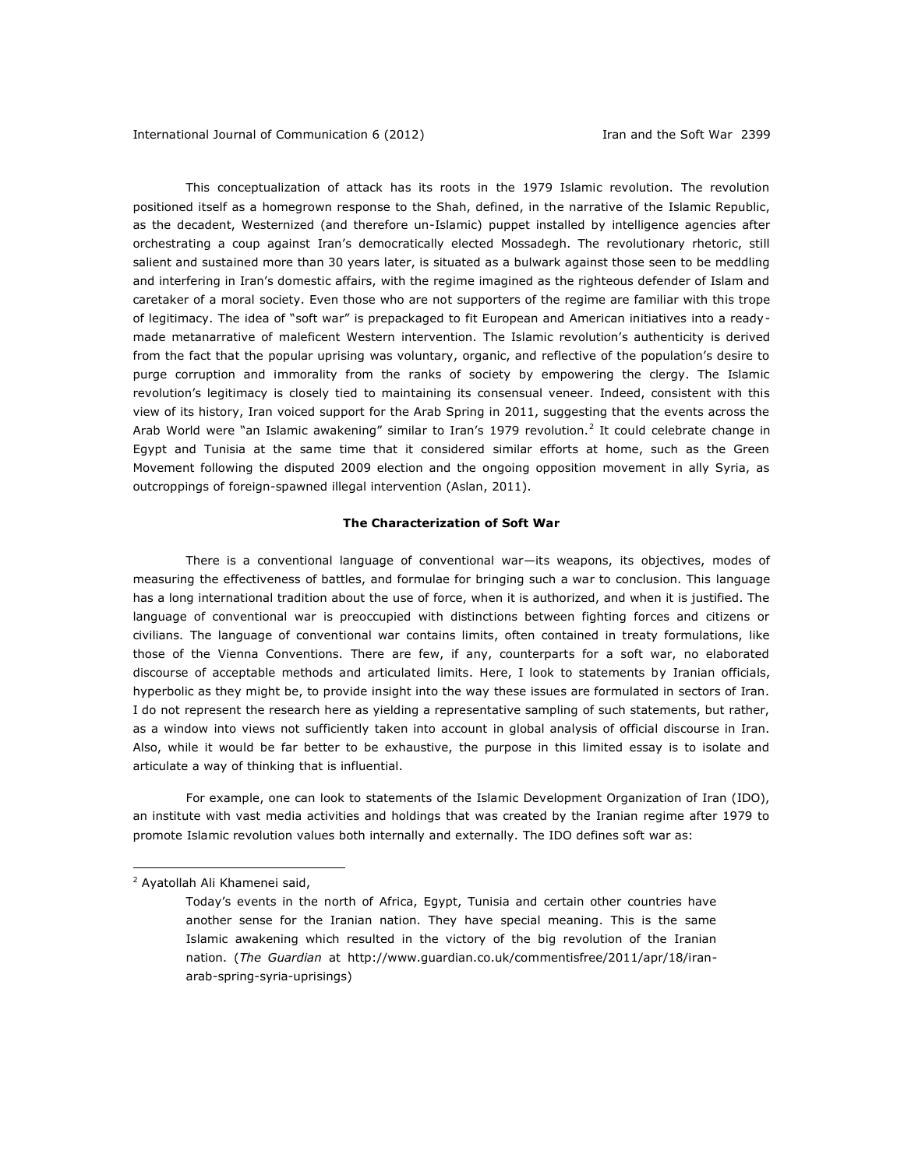This conceptualization of attack has its roots in the 1979 Islamic revolution. The revolution positioned itself as a homegrown response to the Shah, defined, in the narrative of the Islamic Republic, as the decadent, Westernized (and therefore un-Islamic) puppet installed by intelligence agencies after orchestrating a coup against Iran's democratically elected Mossadegh. The revolutionary rhetoric, still salient and sustained more than 30 years later, is situated as a bulwark against those seen to be meddling and interfering in Iran's domestic affairs, with the regime imagined as the righteous defender of Islam and caretaker of a moral society. Even those who are not supporters of the regime are familiar with this trope of legitimacy. The idea of "soft war" is prepackaged to fit European and American initiatives into a readymade metanarrative of maleficent Western intervention. The Islamic revolution's authenticity is derived from the fact that the popular uprising was voluntary, organic, and reflective of the population's desire to purge corruption and immorality from the ranks of society by empowering the clergy. The Islamic revolution's legitimacy is closely tied to maintaining its consensual veneer. Indeed, consistent with this view of its history, Iran voiced support for the Arab Spring in 2011, suggesting that the events across the Arab World were "an Islamic awakening" similar to Iran's 1979 revolution.<sup>2</sup> It could celebrate change in Egypt and Tunisia at the same time that it considered similar efforts at home, such as the Green Movement following the disputed 2009 election and the ongoing opposition movement in ally Syria, as outcroppings of foreign-spawned illegal intervention (Aslan, 2011).

#### **The Characterization of Soft War**

There is a conventional language of conventional war—its weapons, its objectives, modes of measuring the effectiveness of battles, and formulae for bringing such a war to conclusion. This language has a long international tradition about the use of force, when it is authorized, and when it is justified. The language of conventional war is preoccupied with distinctions between fighting forces and citizens or civilians. The language of conventional war contains limits, often contained in treaty formulations, like those of the Vienna Conventions. There are few, if any, counterparts for a soft war, no elaborated discourse of acceptable methods and articulated limits. Here, I look to statements by Iranian officials, hyperbolic as they might be, to provide insight into the way these issues are formulated in sectors of Iran. I do not represent the research here as yielding a representative sampling of such statements, but rather, as a window into views not sufficiently taken into account in global analysis of official discourse in Iran. Also, while it would be far better to be exhaustive, the purpose in this limited essay is to isolate and articulate a way of thinking that is influential.

For example, one can look to statements of the Islamic Development Organization of Iran (IDO), an institute with vast media activities and holdings that was created by the Iranian regime after 1979 to promote Islamic revolution values both internally and externally. The IDO defines soft war as:

 $\overline{a}$ 

<sup>2</sup> Ayatollah Ali Khamenei said,

Today's events in the north of Africa, Egypt, Tunisia and certain other countries have another sense for the Iranian nation. They have special meaning. This is the same Islamic awakening which resulted in the victory of the big revolution of the Iranian nation. (*The Guardian* at http://www.guardian.co.uk/commentisfree/2011/apr/18/iranarab-spring-syria-uprisings)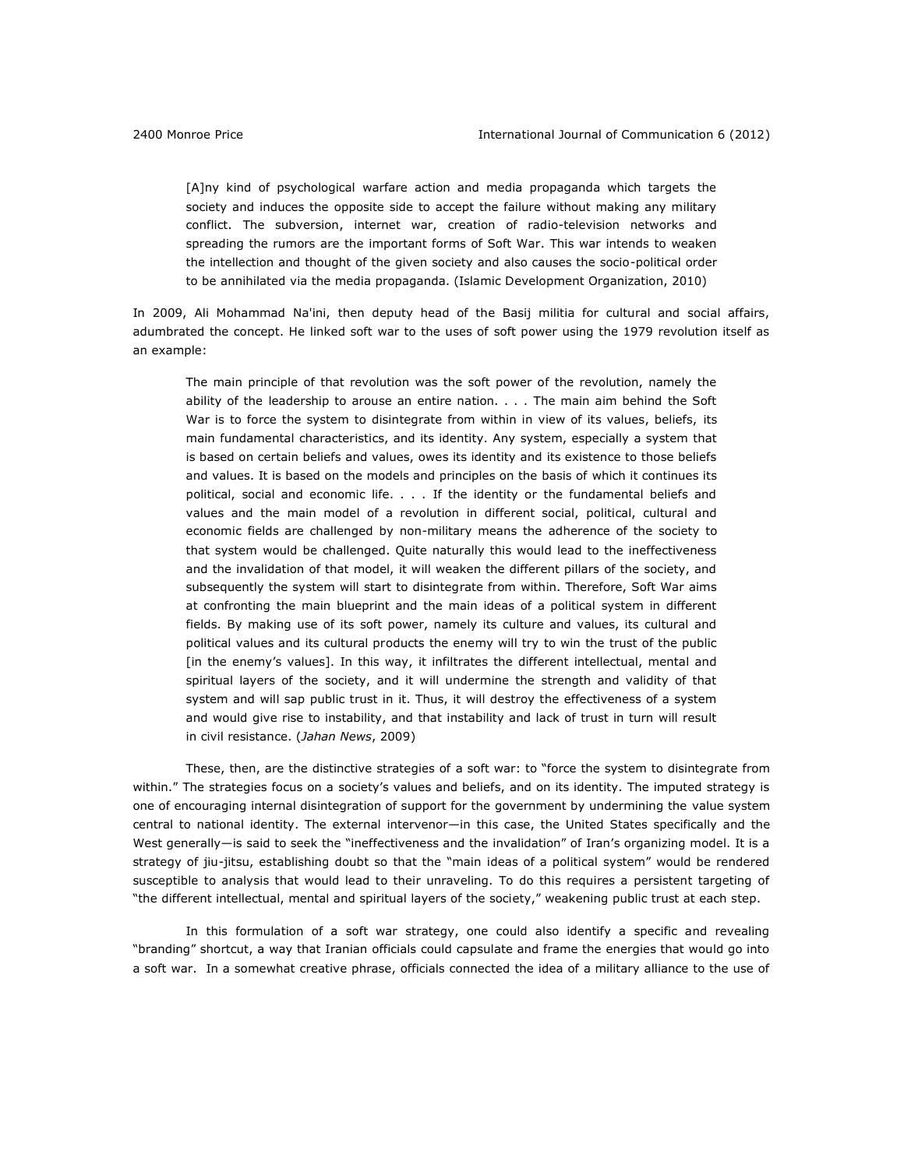[A]ny kind of psychological warfare action and media propaganda which targets the society and induces the opposite side to accept the failure without making any military conflict. The subversion, internet war, creation of radio-television networks and spreading the rumors are the important forms of Soft War. This war intends to weaken the intellection and thought of the given society and also causes the socio-political order to be annihilated via the media propaganda. (Islamic Development Organization, 2010)

In 2009, Ali Mohammad Na'ini, then deputy head of the Basij militia for cultural and social affairs, adumbrated the concept. He linked soft war to the uses of soft power using the 1979 revolution itself as an example:

The main principle of that revolution was the soft power of the revolution, namely the ability of the leadership to arouse an entire nation. . . . The main aim behind the Soft War is to force the system to disintegrate from within in view of its values, beliefs, its main fundamental characteristics, and its identity. Any system, especially a system that is based on certain beliefs and values, owes its identity and its existence to those beliefs and values. It is based on the models and principles on the basis of which it continues its political, social and economic life. . . . If the identity or the fundamental beliefs and values and the main model of a revolution in different social, political, cultural and economic fields are challenged by non-military means the adherence of the society to that system would be challenged. Quite naturally this would lead to the ineffectiveness and the invalidation of that model, it will weaken the different pillars of the society, and subsequently the system will start to disintegrate from within. Therefore, Soft War aims at confronting the main blueprint and the main ideas of a political system in different fields. By making use of its soft power, namely its culture and values, its cultural and political values and its cultural products the enemy will try to win the trust of the public [in the enemy's values]. In this way, it infiltrates the different intellectual, mental and spiritual layers of the society, and it will undermine the strength and validity of that system and will sap public trust in it. Thus, it will destroy the effectiveness of a system and would give rise to instability, and that instability and lack of trust in turn will result in civil resistance. (*Jahan News*, 2009)

These, then, are the distinctive strategies of a soft war: to "force the system to disintegrate from within." The strategies focus on a society's values and beliefs, and on its identity. The imputed strategy is one of encouraging internal disintegration of support for the government by undermining the value system central to national identity. The external intervenor—in this case, the United States specifically and the West generally—is said to seek the "ineffectiveness and the invalidation" of Iran's organizing model. It is a strategy of jiu-jitsu, establishing doubt so that the "main ideas of a political system" would be rendered susceptible to analysis that would lead to their unraveling. To do this requires a persistent targeting of "the different intellectual, mental and spiritual layers of the society," weakening public trust at each step.

In this formulation of a soft war strategy, one could also identify a specific and revealing "branding" shortcut, a way that Iranian officials could capsulate and frame the energies that would go into a soft war. In a somewhat creative phrase, officials connected the idea of a military alliance to the use of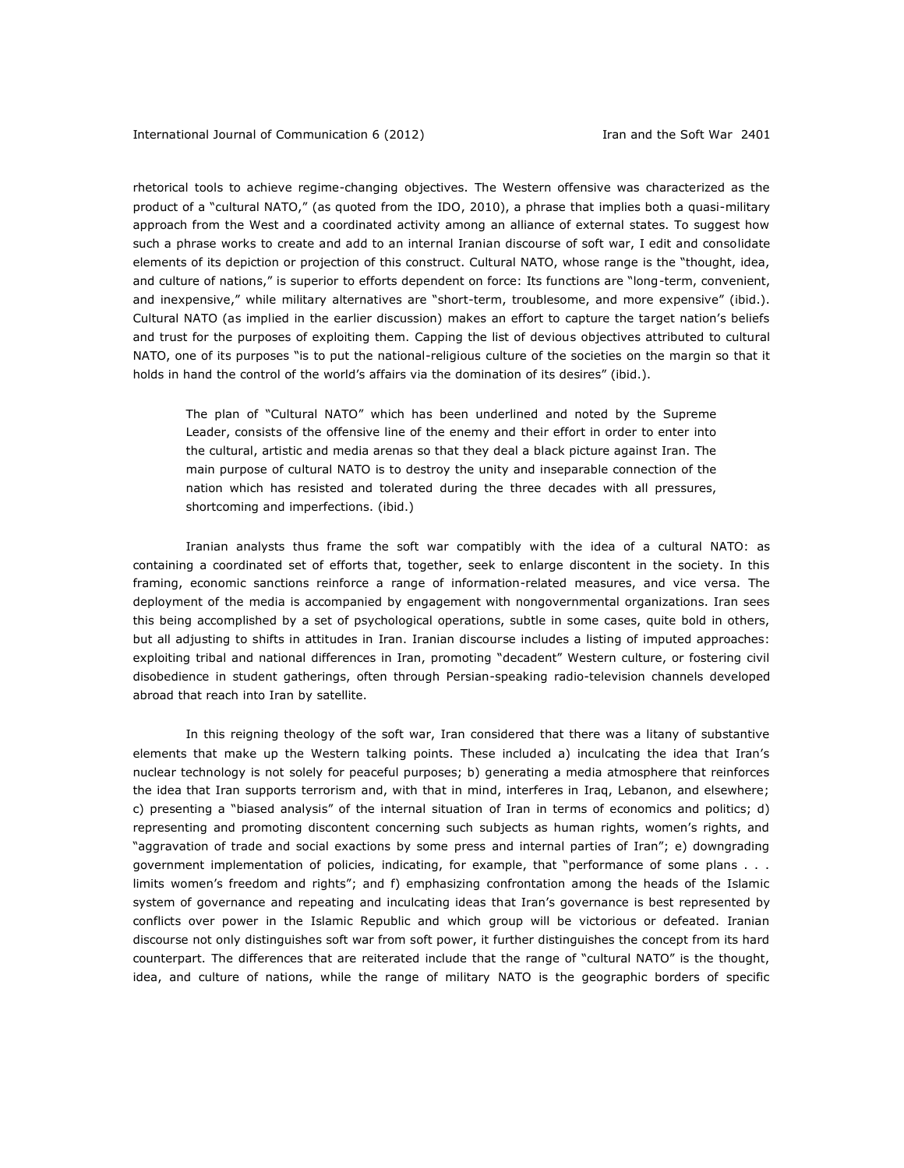rhetorical tools to achieve regime-changing objectives. The Western offensive was characterized as the product of a "cultural NATO," (as quoted from the IDO, 2010), a phrase that implies both a quasi-military approach from the West and a coordinated activity among an alliance of external states. To suggest how such a phrase works to create and add to an internal Iranian discourse of soft war, I edit and consolidate elements of its depiction or projection of this construct. Cultural NATO, whose range is the "thought, idea, and culture of nations," is superior to efforts dependent on force: Its functions are "long-term, convenient, and inexpensive," while military alternatives are "short-term, troublesome, and more expensive" (ibid.). Cultural NATO (as implied in the earlier discussion) makes an effort to capture the target nation's beliefs and trust for the purposes of exploiting them. Capping the list of devious objectives attributed to cultural NATO, one of its purposes "is to put the national-religious culture of the societies on the margin so that it holds in hand the control of the world's affairs via the domination of its desires" (ibid.).

The plan of "Cultural NATO" which has been underlined and noted by the Supreme Leader, consists of the offensive line of the enemy and their effort in order to enter into the cultural, artistic and media arenas so that they deal a black picture against Iran. The main purpose of cultural NATO is to destroy the unity and inseparable connection of the nation which has resisted and tolerated during the three decades with all pressures, shortcoming and imperfections. (ibid.)

Iranian analysts thus frame the soft war compatibly with the idea of a cultural NATO: as containing a coordinated set of efforts that, together, seek to enlarge discontent in the society. In this framing, economic sanctions reinforce a range of information-related measures, and vice versa. The deployment of the media is accompanied by engagement with nongovernmental organizations. Iran sees this being accomplished by a set of psychological operations, subtle in some cases, quite bold in others, but all adjusting to shifts in attitudes in Iran. Iranian discourse includes a listing of imputed approaches: exploiting tribal and national differences in Iran, promoting "decadent" Western culture, or fostering civil disobedience in student gatherings, often through Persian-speaking radio-television channels developed abroad that reach into Iran by satellite.

In this reigning theology of the soft war, Iran considered that there was a litany of substantive elements that make up the Western talking points. These included a) inculcating the idea that Iran's nuclear technology is not solely for peaceful purposes; b) generating a media atmosphere that reinforces the idea that Iran supports terrorism and, with that in mind, interferes in Iraq, Lebanon, and elsewhere; c) presenting a "biased analysis" of the internal situation of Iran in terms of economics and politics; d) representing and promoting discontent concerning such subjects as human rights, women's rights, and "aggravation of trade and social exactions by some press and internal parties of Iran"; e) downgrading government implementation of policies, indicating, for example, that "performance of some plans . . . limits women's freedom and rights"; and f) emphasizing confrontation among the heads of the Islamic system of governance and repeating and inculcating ideas that Iran's governance is best represented by conflicts over power in the Islamic Republic and which group will be victorious or defeated. Iranian discourse not only distinguishes soft war from soft power, it further distinguishes the concept from its hard counterpart. The differences that are reiterated include that the range of "cultural NATO" is the thought, idea, and culture of nations, while the range of military NATO is the geographic borders of specific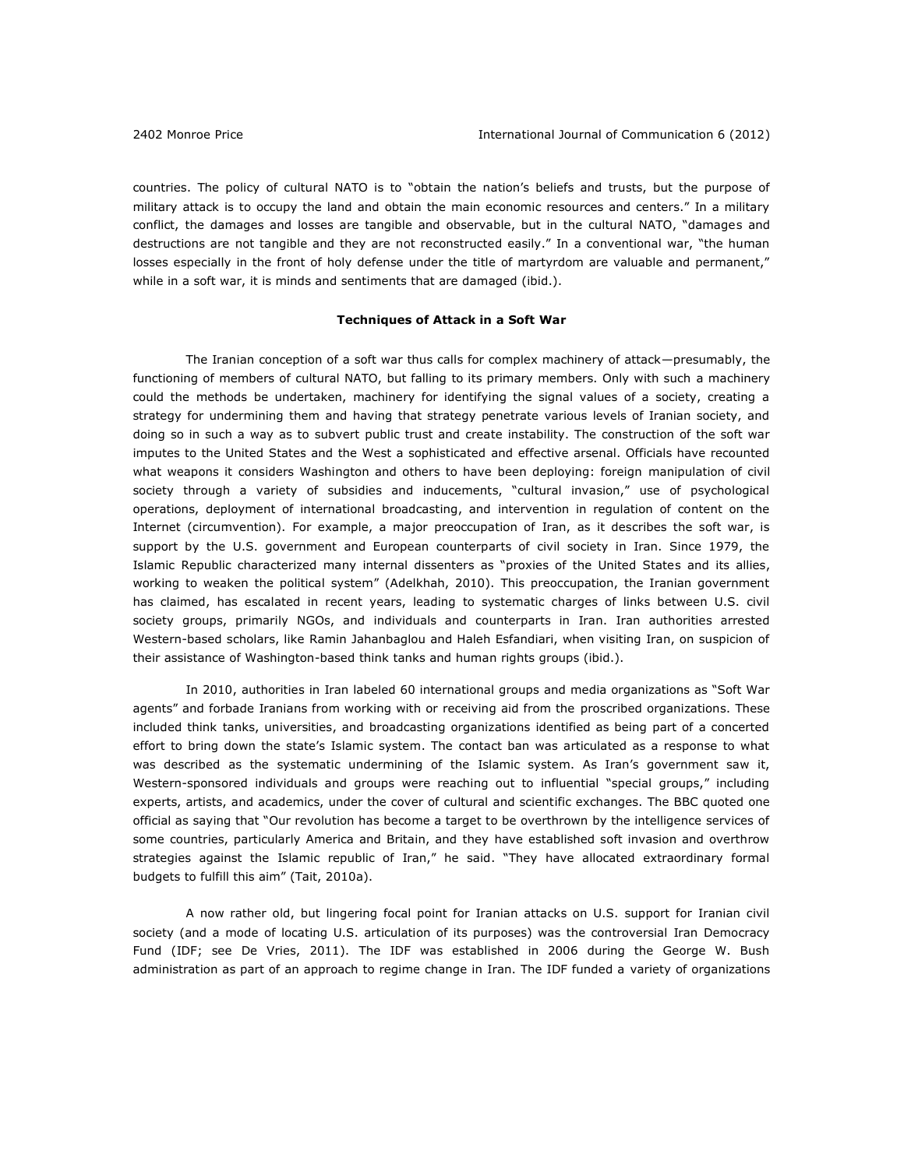countries. The policy of cultural NATO is to "obtain the nation's beliefs and trusts, but the purpose of military attack is to occupy the land and obtain the main economic resources and centers." In a military conflict, the damages and losses are tangible and observable, but in the cultural NATO, "damages and destructions are not tangible and they are not reconstructed easily." In a conventional war, "the human losses especially in the front of holy defense under the title of martyrdom are valuable and permanent," while in a soft war, it is minds and sentiments that are damaged (ibid.).

### **Techniques of Attack in a Soft War**

The Iranian conception of a soft war thus calls for complex machinery of attack—presumably, the functioning of members of cultural NATO, but falling to its primary members. Only with such a machinery could the methods be undertaken, machinery for identifying the signal values of a society, creating a strategy for undermining them and having that strategy penetrate various levels of Iranian society, and doing so in such a way as to subvert public trust and create instability. The construction of the soft war imputes to the United States and the West a sophisticated and effective arsenal. Officials have recounted what weapons it considers Washington and others to have been deploying: foreign manipulation of civil society through a variety of subsidies and inducements, "cultural invasion," use of psychological operations, deployment of international broadcasting, and intervention in regulation of content on the Internet (circumvention). For example, a major preoccupation of Iran, as it describes the soft war, is support by the U.S. government and European counterparts of civil society in Iran. Since 1979, the Islamic Republic characterized many internal dissenters as "proxies of the United States and its allies, working to weaken the political system" (Adelkhah, 2010). This preoccupation, the Iranian government has claimed, has escalated in recent years, leading to systematic charges of links between U.S. civil society groups, primarily NGOs, and individuals and counterparts in Iran. Iran authorities arrested Western-based scholars, like Ramin Jahanbaglou and Haleh Esfandiari, when visiting Iran, on suspicion of their assistance of Washington-based think tanks and human rights groups (ibid.).

In 2010, authorities in [Iran](http://www.guardian.co.uk/world/iran) labeled 60 international groups and media organizations as "Soft War agents" and forbade Iranians from working with or receiving aid from the proscribed organizations. These included think tanks, universities, and broadcasting organizations identified as being part of a concerted effort to bring down the state's Islamic system. The contact ban was articulated as a response to what was described as the systematic undermining of the Islamic system. As Iran's government saw it, Western-sponsored individuals and groups were reaching out to influential "special groups," including experts, artists, and academics, under the cover of cultural and scientific exchanges. The BBC quoted one official as saying that "Our revolution has become a target to be overthrown by the intelligence services of some countries, particularly America and Britain, and they have established soft invasion and overthrow strategies against the Islamic republic of Iran," he said. "They have allocated extraordinary formal budgets to fulfill this aim" (Tait, 2010a).

A now rather old, but lingering focal point for Iranian attacks on U.S. support for Iranian civil society (and a mode of locating U.S. articulation of its purposes) was the controversial Iran Democracy Fund (IDF; see De Vries, 2011). The IDF was established in 2006 during the George W. Bush administration as part of an approach to regime change in Iran. The IDF funded a variety of organizations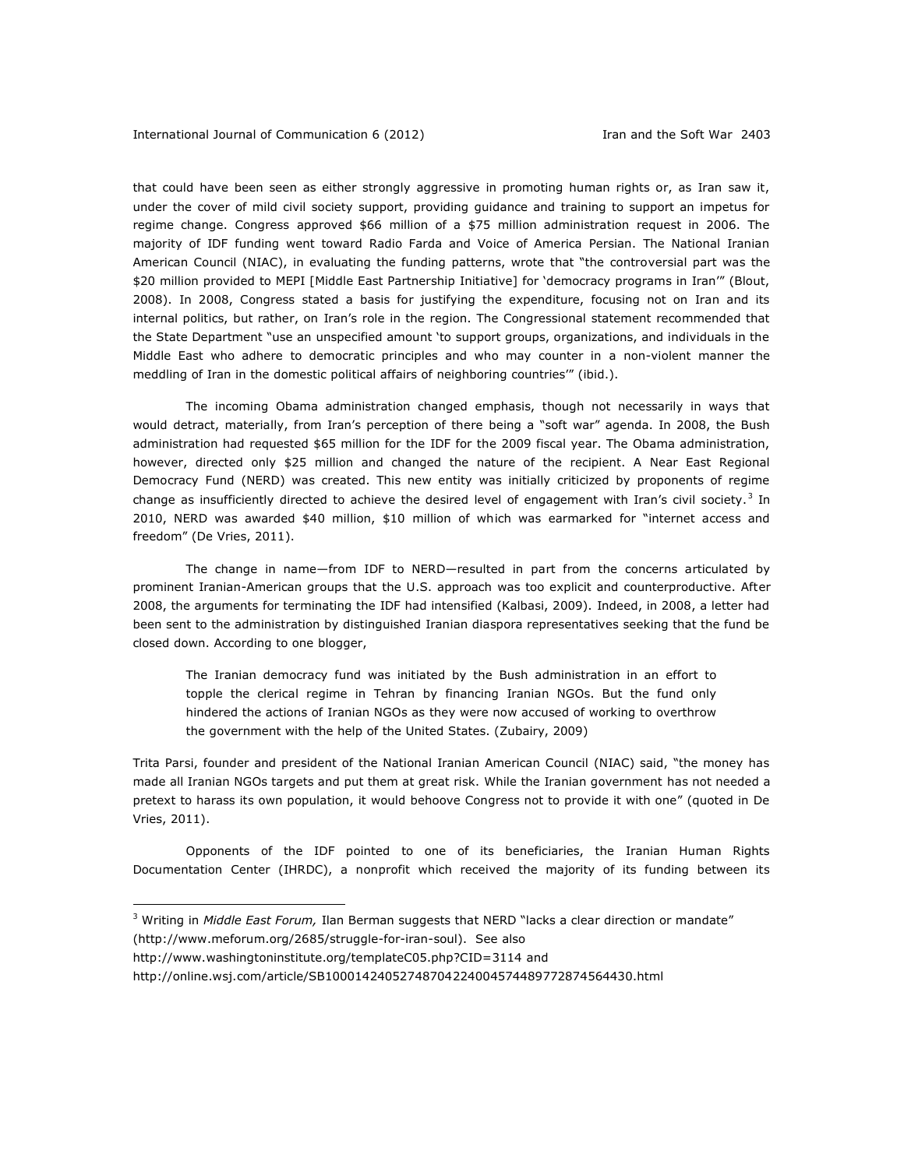that could have been seen as either strongly aggressive in promoting human rights or, as Iran saw it, under the cover of mild civil society support, providing guidance and training to support an impetus for regime change. Congress approved \$66 million of a \$75 million administration request in 2006. The majority of IDF funding went toward Radio Farda and Voice of America Persian. The National Iranian American Council (NIAC), in evaluating the funding patterns, wrote that "the controversial part was the \$20 million provided to MEPI [Middle East Partnership Initiative] for 'democracy programs in Iran'" (Blout, 2008). In 2008, Congress stated a basis for justifying the expenditure, focusing not on Iran and its internal politics, but rather, on Iran's role in the region. The Congressional statement recommended that the State Department "use an unspecified amount 'to support groups, organizations, and individuals in the Middle East who adhere to democratic principles and who may counter in a non-violent manner the meddling of Iran in the domestic political affairs of neighboring countries'" (ibid.).

The incoming Obama administration changed emphasis, though not necessarily in ways that would detract, materially, from Iran's perception of there being a "soft war" agenda. In 2008, the Bush administration had requested \$65 million for the IDF for the 2009 fiscal year. The Obama administration, however, directed only \$25 million and changed the nature of the recipient. A Near East Regional Democracy Fund (NERD) was created. This new entity was initially criticized by proponents of regime change as insufficiently directed to achieve the desired level of engagement with Iran's civil society.<sup>3</sup> In 2010, NERD was awarded \$40 million, \$10 million of which was earmarked for "internet access and freedom" (De Vries, 2011).

The change in name—from IDF to NERD—resulted in part from the concerns articulated by prominent Iranian-American groups that the U.S. approach was too explicit and counterproductive. After 2008, the arguments for terminating the IDF had intensified (Kalbasi, 2009). Indeed, in 2008, a letter had been sent to the administration by distinguished Iranian diaspora representatives seeking that the fund be closed down. According to one blogger,

The Iranian democracy fund was initiated by the Bush administration in an effort to topple the clerical regime in Tehran by financing Iranian NGOs. But the fund only hindered the actions of Iranian NGOs as they were now accused of working to overthrow the government with the help of the United States. (Zubairy, 2009)

Trita Parsi, founder and president of the National Iranian American Council (NIAC) said, "the money has made all Iranian NGOs targets and put them at great risk. While the Iranian government has not needed a pretext to harass its own population, it would behoove Congress not to provide it with one" (quoted in De Vries, 2011).

Opponents of the IDF pointed to one of its beneficiaries, the Iranian Human Rights Documentation Center (IHRDC), a nonprofit which received the majority of its funding between its

<sup>3</sup> Writing in *Middle East Forum,* Ilan Berman suggests that NERD "lacks a clear direction or mandate"

[\(http://www.meforum.org/2685/struggle-for-iran-soul\)](http://www.meforum.org/2685/struggle-for-iran-soul). See also

 $\overline{a}$ 

<http://www.washingtoninstitute.org/templateC05.php?CID=3114> and

http://online.wsj.com/article/SB10001424052748704224004574489772874564430.html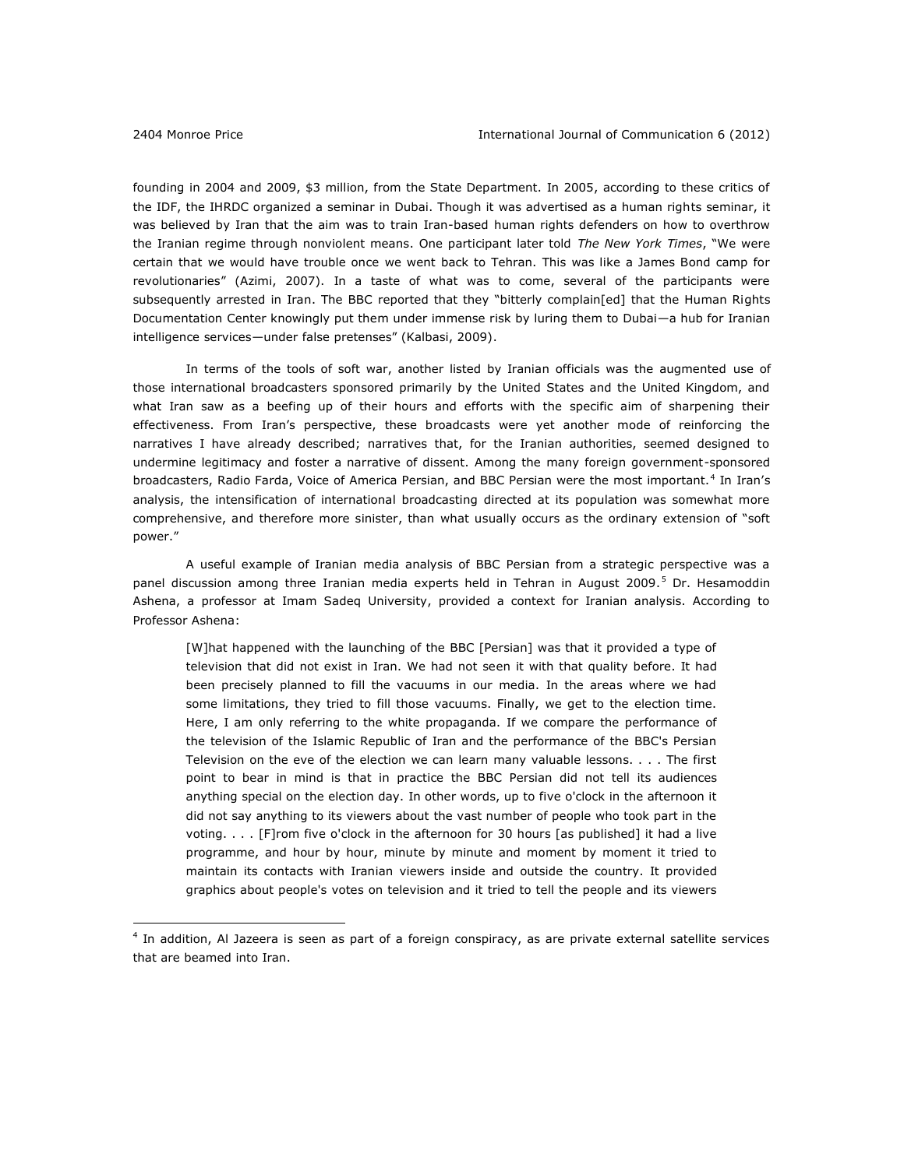$\overline{a}$ 

founding in 2004 and 2009, \$3 million, from the State Department. In 2005, according to these critics of the IDF, the IHRDC organized a seminar in Dubai. Though it was advertised as a human rights seminar, it was believed by Iran that the aim was to train Iran-based human rights defenders on how to overthrow the Iranian regime through nonviolent means. One participant later told *The New York Times*, "We were certain that we would have trouble once we went back to Tehran. This was like a James Bond camp for revolutionaries" (Azimi, 2007). In a taste of what was to come, several of the participants were subsequently arrested in Iran. The BBC reported that they "bitterly complain[ed] that the Human Rights Documentation Center knowingly put them under immense risk by luring them to Dubai—a hub for Iranian intelligence services—under false pretenses" (Kalbasi, 2009).

In terms of the tools of soft war, another listed by Iranian officials was the augmented use of those international broadcasters sponsored primarily by the United States and the United Kingdom, and what Iran saw as a beefing up of their hours and efforts with the specific aim of sharpening their effectiveness. From Iran's perspective, these broadcasts were yet another mode of reinforcing the narratives I have already described; narratives that, for the Iranian authorities, seemed designed to undermine legitimacy and foster a narrative of dissent. Among the many foreign government-sponsored broadcasters, Radio Farda, Voice of America Persian, and BBC Persian were the most important.<sup>4</sup> In Iran's analysis, the intensification of international broadcasting directed at its population was somewhat more comprehensive, and therefore more sinister, than what usually occurs as the ordinary extension of "soft power."

A useful example of Iranian media analysis of BBC Persian from a strategic perspective was a panel discussion among three Iranian media experts held in Tehran in August 2009.<sup>5</sup> Dr. Hesamoddin Ashena, a professor at Imam Sadeq University, provided a context for Iranian analysis. According to Professor Ashena:

[W]hat happened with the launching of the BBC [Persian] was that it provided a type of television that did not exist in Iran. We had not seen it with that quality before. It had been precisely planned to fill the vacuums in our media. In the areas where we had some limitations, they tried to fill those vacuums. Finally, we get to the election time. Here, I am only referring to the white propaganda. If we compare the performance of the television of the Islamic Republic of Iran and the performance of the BBC's Persian Television on the eve of the election we can learn many valuable lessons. . . . The first point to bear in mind is that in practice the BBC Persian did not tell its audiences anything special on the election day. In other words, up to five o'clock in the afternoon it did not say anything to its viewers about the vast number of people who took part in the voting. . . . [F]rom five o'clock in the afternoon for 30 hours [as published] it had a live programme, and hour by hour, minute by minute and moment by moment it tried to maintain its contacts with Iranian viewers inside and outside the country. It provided graphics about people's votes on television and it tried to tell the people and its viewers

<sup>4</sup> In addition, Al Jazeera is seen as part of a foreign conspiracy, as are private external satellite services that are beamed into Iran.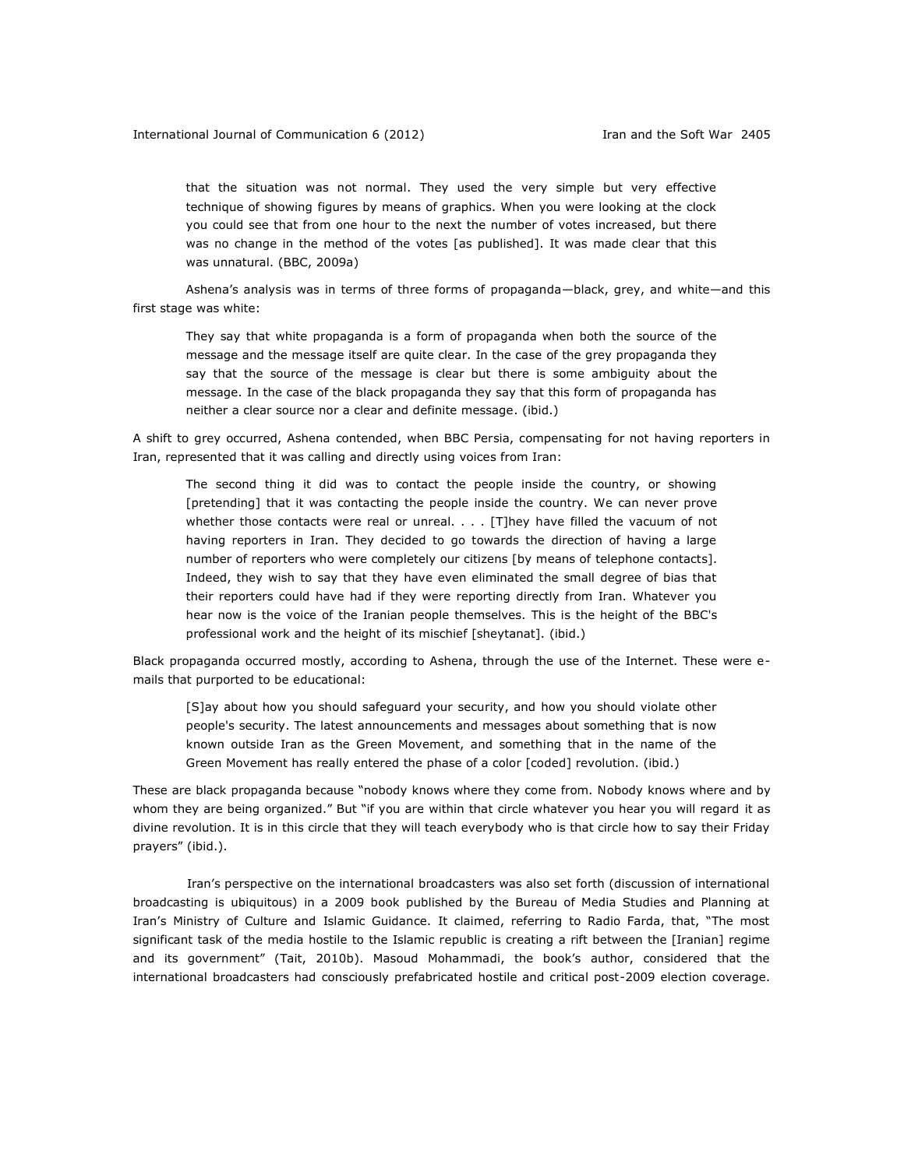that the situation was not normal. They used the very simple but very effective technique of showing figures by means of graphics. When you were looking at the clock you could see that from one hour to the next the number of votes increased, but there was no change in the method of the votes [as published]. It was made clear that this was unnatural. (BBC, 2009a)

Ashena's analysis was in terms of three forms of propaganda—black, grey, and white—and this first stage was white:

They say that white propaganda is a form of propaganda when both the source of the message and the message itself are quite clear. In the case of the grey propaganda they say that the source of the message is clear but there is some ambiguity about the message. In the case of the black propaganda they say that this form of propaganda has neither a clear source nor a clear and definite message. (ibid.)

A shift to grey occurred, Ashena contended, when BBC Persia, compensating for not having reporters in Iran, represented that it was calling and directly using voices from Iran:

The second thing it did was to contact the people inside the country, or showing [pretending] that it was contacting the people inside the country. We can never prove whether those contacts were real or unreal.  $\ldots$  [T]hey have filled the vacuum of not having reporters in Iran. They decided to go towards the direction of having a large number of reporters who were completely our citizens [by means of telephone contacts]. Indeed, they wish to say that they have even eliminated the small degree of bias that their reporters could have had if they were reporting directly from Iran. Whatever you hear now is the voice of the Iranian people themselves. This is the height of the BBC's professional work and the height of its mischief [sheytanat]. (ibid.)

Black propaganda occurred mostly, according to Ashena, through the use of the Internet. These were emails that purported to be educational:

[S]ay about how you should safeguard your security, and how you should violate other people's security. The latest announcements and messages about something that is now known outside Iran as the Green Movement, and something that in the name of the Green Movement has really entered the phase of a color [coded] revolution. (ibid.)

These are black propaganda because "nobody knows where they come from. Nobody knows where and by whom they are being organized." But "if you are within that circle whatever you hear you will regard it as divine revolution. It is in this circle that they will teach everybody who is that circle how to say their Friday prayers" (ibid.).

 Iran's perspective on the international broadcasters was also set forth (discussion of international broadcasting is ubiquitous) in a 2009 book published by the Bureau of Media Studies and Planning at Iran's Ministry of Culture and Islamic Guidance. It claimed, referring to Radio Farda, that, "The most significant task of the media hostile to the Islamic republic is creating a rift between the [Iranian] regime and its government" (Tait, 2010b). Masoud Mohammadi, the book's author, considered that the international broadcasters had consciously prefabricated hostile and critical post-2009 election coverage.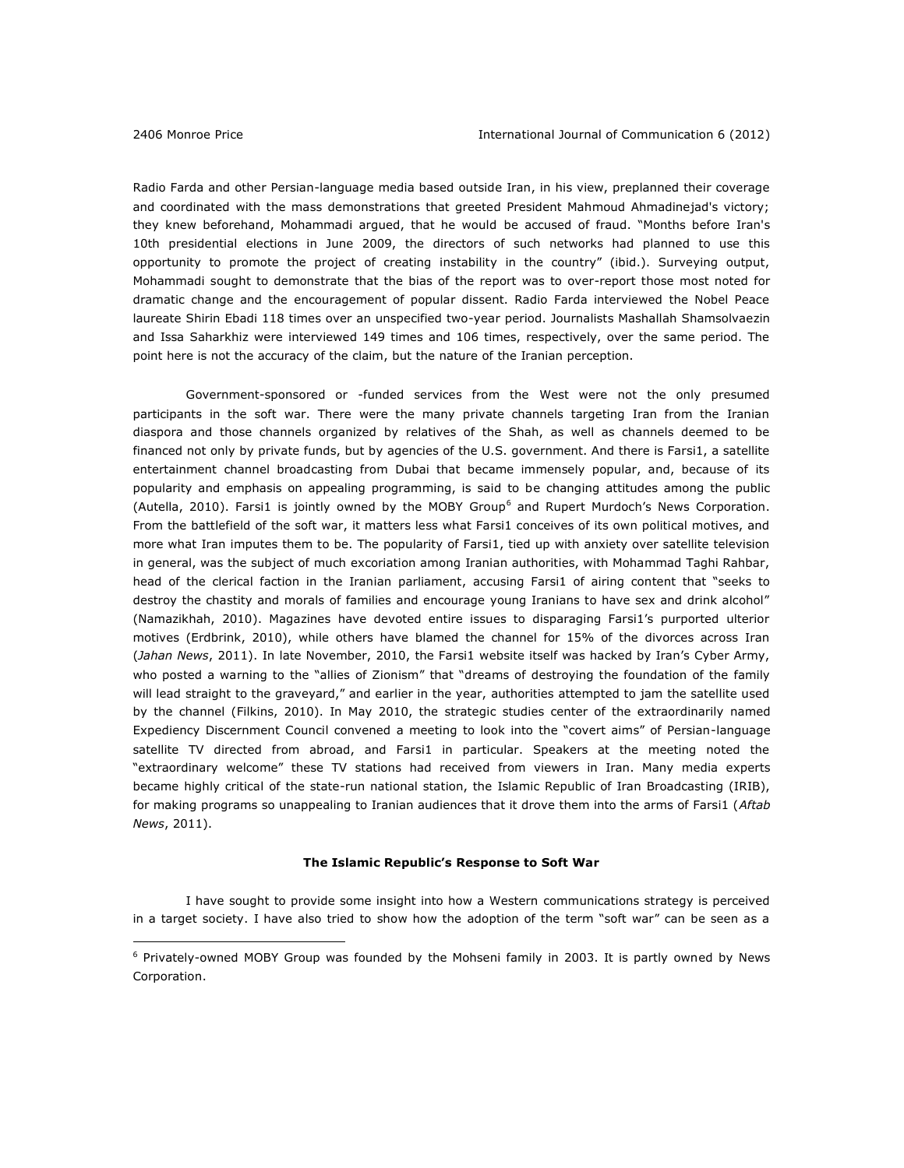$\overline{a}$ 

Radio Farda and other Persian-language media based outside Iran, in his view, preplanned their coverage and coordinated with the mass demonstrations that greeted President Mahmoud Ahmadinejad's victory; they knew beforehand, Mohammadi argued, that he would be accused of fraud. "Months before Iran's 10th presidential elections in June 2009, the directors of such networks had planned to use this opportunity to promote the project of creating instability in the country" (ibid.). Surveying output, Mohammadi sought to demonstrate that the bias of the report was to over-report those most noted for dramatic change and the encouragement of popular dissent. Radio Farda interviewed the Nobel Peace laureate Shirin Ebadi 118 times over an unspecified two-year period. Journalists Mashallah Shamsolvaezin and Issa Saharkhiz were interviewed 149 times and 106 times, respectively, over the same period. The point here is not the accuracy of the claim, but the nature of the Iranian perception.

Government-sponsored or -funded services from the West were not the only presumed participants in the soft war. There were the many private channels targeting Iran from the Iranian diaspora and those channels organized by relatives of the Shah, as well as channels deemed to be financed not only by private funds, but by agencies of the U.S. government. And there is Farsi1, a satellite entertainment channel broadcasting from Dubai that became immensely popular, and, because of its popularity and emphasis on appealing programming, is said to be changing attitudes among the public (Autella, 2010). Farsi1 is jointly owned by the MOBY Group<sup>6</sup> and Rupert Murdoch's News Corporation. From the battlefield of the soft war, it matters less what Farsi1 conceives of its own political motives, and more what Iran imputes them to be. The popularity of Farsi1, tied up with anxiety over satellite television in general, was the subject of much excoriation among Iranian authorities, with Mohammad Taghi Rahbar, head of the clerical faction in the Iranian parliament, accusing Farsi1 of airing content that "seeks to destroy the chastity and morals of families and encourage young Iranians to have sex and drink alcohol" (Namazikhah, 2010). Magazines have devoted entire issues to disparaging Farsi1's purported ulterior motives (Erdbrink, 2010), while others have blamed the channel for 15% of the divorces across Iran (*Jahan News*, 2011). In late November, 2010, the Farsi1 website itself was hacked by Iran's Cyber Army, who posted a warning to the "allies of Zionism" that "dreams of destroying the foundation of the family will lead straight to the graveyard," and earlier in the year, authorities attempted to jam the satellite used by the channel (Filkins, 2010). In May 2010, the strategic studies center of the extraordinarily named Expediency Discernment Council convened a meeting to look into the "covert aims" of Persian-language satellite TV directed from abroad, and Farsi1 in particular. Speakers at the meeting noted the "extraordinary welcome" these TV stations had received from viewers in Iran. Many media experts became highly critical of the state-run national station, the Islamic Republic of Iran Broadcasting (IRIB), for making programs so unappealing to Iranian audiences that it drove them into the arms of Farsi1 (*Aftab News*, 2011).

#### **The Islamic Republic's Response to Soft War**

I have sought to provide some insight into how a Western communications strategy is perceived in a target society. I have also tried to show how the adoption of the term "soft war" can be seen as a

<sup>&</sup>lt;sup>6</sup> Privately-owned MOBY Group was founded by the Mohseni family in 2003. It is partly owned by News Corporation.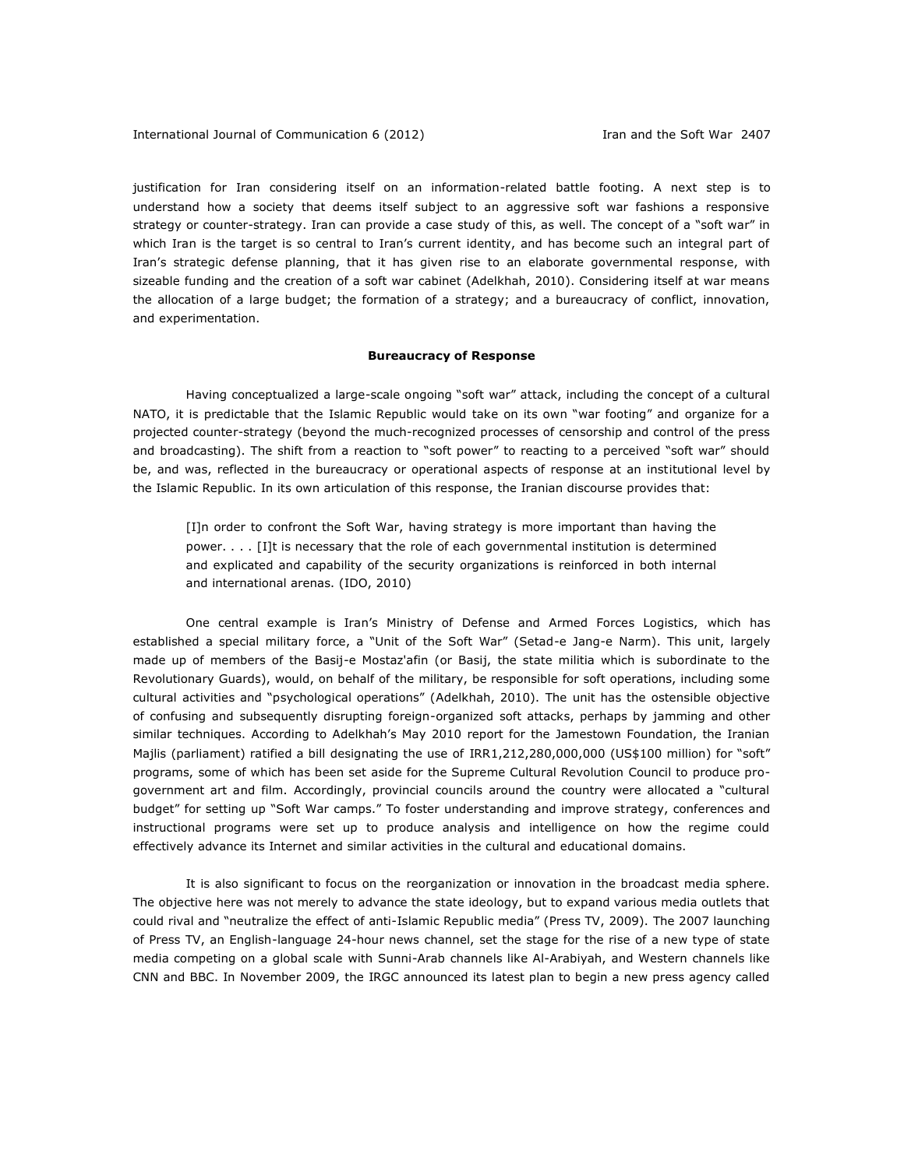justification for Iran considering itself on an information-related battle footing. A next step is to understand how a society that deems itself subject to an aggressive soft war fashions a responsive strategy or counter-strategy. Iran can provide a case study of this, as well. The concept of a "soft war" in which Iran is the target is so central to Iran's current identity, and has become such an integral part of Iran's strategic defense planning, that it has given rise to an elaborate governmental response, with sizeable funding and the creation of a soft war cabinet (Adelkhah, 2010). Considering itself at war means the allocation of a large budget; the formation of a strategy; and a bureaucracy of conflict, innovation, and experimentation.

### **Bureaucracy of Response**

Having conceptualized a large-scale ongoing "soft war" attack, including the concept of a cultural NATO, it is predictable that the Islamic Republic would take on its own "war footing" and organize for a projected counter-strategy (beyond the much-recognized processes of censorship and control of the press and broadcasting). The shift from a reaction to "soft power" to reacting to a perceived "soft war" should be, and was, reflected in the bureaucracy or operational aspects of response at an institutional level by the Islamic Republic. In its own articulation of this response, the Iranian discourse provides that:

[I]n order to confront the Soft War, having strategy is more important than having the power. . . . [I]t is necessary that the role of each governmental institution is determined and explicated and capability of the security organizations is reinforced in both internal and international arenas. (IDO, 2010)

One central example is Iran's Ministry of Defense and Armed Forces Logistics, which has established a special military force, a "Unit of the Soft War" (Setad-e Jang-e Narm). This unit, largely made up of members of the Basij-e Mostaz'afin (or Basij, the state militia which is subordinate to the Revolutionary Guards), would, on behalf of the military, be responsible for soft operations, including some cultural activities and "psychological operations" (Adelkhah, 2010). The unit has the ostensible objective of confusing and subsequently disrupting foreign-organized soft attacks, perhaps by jamming and other similar techniques. According to Adelkhah's May 2010 report for the Jamestown Foundation, the Iranian Majlis (parliament) ratified a bill designating the use of IRR1,212,280,000,000 (US\$100 million) for "soft" programs, some of which has been set aside for the Supreme Cultural Revolution Council to produce progovernment art and film. Accordingly, provincial councils around the country were allocated a "cultural budget" for setting up "Soft War camps." To foster understanding and improve strategy, conferences and instructional programs were set up to produce analysis and intelligence on how the regime could effectively advance its Internet and similar activities in the cultural and educational domains.

It is also significant to focus on the reorganization or innovation in the broadcast media sphere. The objective here was not merely to advance the state ideology, but to expand various media outlets that could rival and "neutralize the effect of anti-Islamic Republic media" (Press TV, 2009). The 2007 launching of Press TV, an English-language 24-hour news channel, set the stage for the rise of a new type of state media competing on a global scale with Sunni-Arab channels like Al-Arabiyah, and Western channels like CNN and BBC. In November 2009, the IRGC announced its latest plan to begin a new press agency called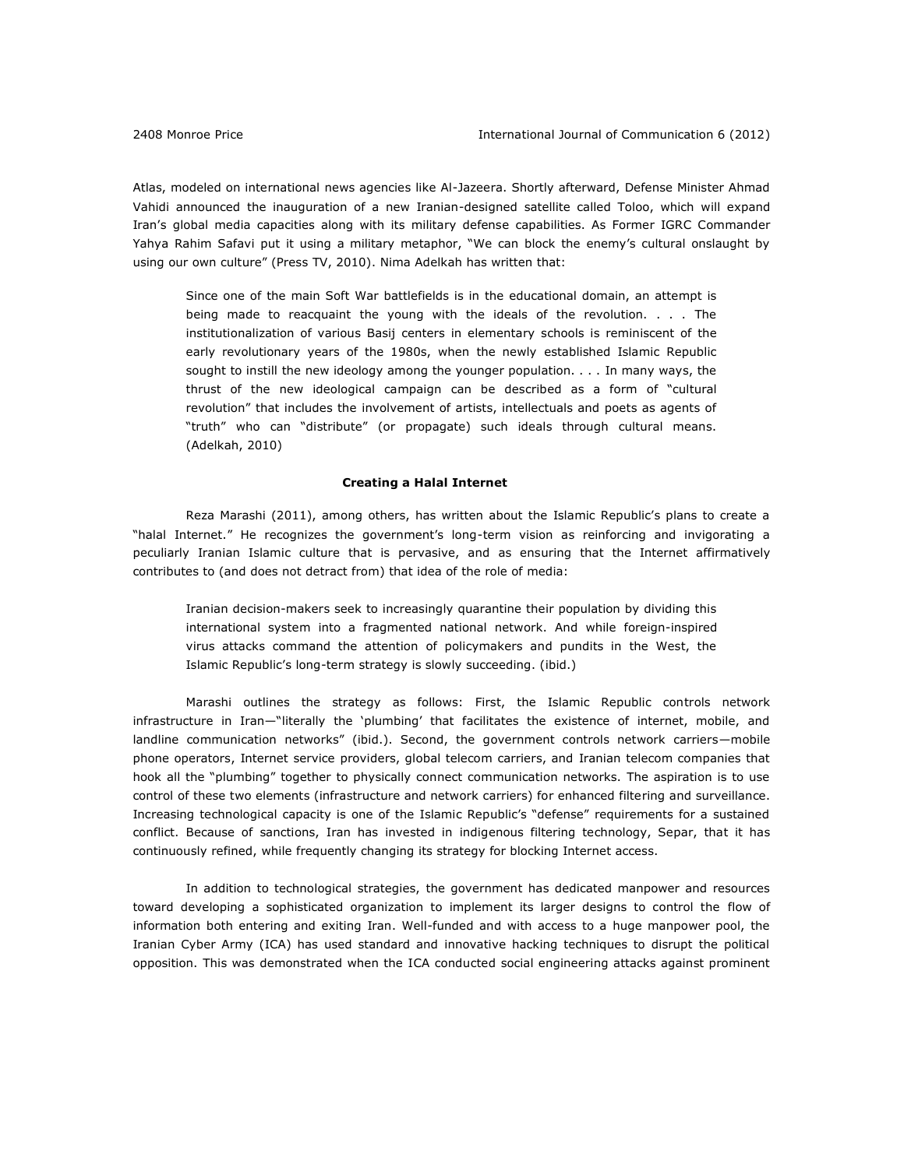Atlas, modeled on international news agencies like Al-Jazeera. Shortly afterward, Defense Minister Ahmad Vahidi announced the inauguration of a new Iranian-designed satellite called Toloo, which will expand Iran's global media capacities along with its military defense capabilities. As Former IGRC Commander Yahya Rahim Safavi put it using a military metaphor, "We can block the enemy's cultural onslaught by using our own culture" (Press TV, 2010). Nima Adelkah has written that:

Since one of the main Soft War battlefields is in the educational domain, an attempt is being made to reacquaint the young with the ideals of the revolution. . . . The institutionalization of various Basij centers in elementary schools is reminiscent of the early revolutionary years of the 1980s, when the newly established Islamic Republic sought to instill the new ideology among the younger population. . . . In many ways, the thrust of the new ideological campaign can be described as a form of "cultural revolution" that includes the involvement of artists, intellectuals and poets as agents of "truth" who can "distribute" (or propagate) such ideals through cultural means. (Adelkah, 2010)

## **Creating a Halal Internet**

Reza Marashi (2011), among others, has written about the Islamic Republic's plans to create a "halal Internet." He recognizes the government's long-term vision as reinforcing and invigorating a peculiarly Iranian Islamic culture that is pervasive, and as ensuring that the Internet affirmatively contributes to (and does not detract from) that idea of the role of media:

Iranian decision-makers seek to increasingly quarantine their population by dividing this international system into a fragmented national network. And while foreign-inspired virus attacks command the attention of policymakers and pundits in the West, the Islamic Republic's long-term strategy is slowly succeeding. (ibid.)

Marashi outlines the strategy as follows: First, the Islamic Republic controls network infrastructure in Iran—"literally the 'plumbing' that facilitates the existence of internet, mobile, and landline communication networks" (ibid.). Second, the government controls network carriers—mobile phone operators, Internet service providers, global telecom carriers, and Iranian telecom companies that hook all the "plumbing" together to physically connect communication networks. The aspiration is to use control of these two elements (infrastructure and network carriers) for enhanced filtering and surveillance. Increasing technological capacity is one of the Islamic Republic's "defense" requirements for a sustained conflict. Because of sanctions, Iran has invested in indigenous filtering technology, Separ, that it has continuously refined, while frequently changing its strategy for blocking Internet access.

In addition to technological strategies, the government has dedicated manpower and resources toward developing a sophisticated organization to implement its larger designs to control the flow of information both entering and exiting Iran. Well-funded and with access to a huge manpower pool, the Iranian Cyber Army (ICA) has used standard and innovative hacking techniques to disrupt the political opposition. This was demonstrated when the ICA conducted social engineering attacks against prominent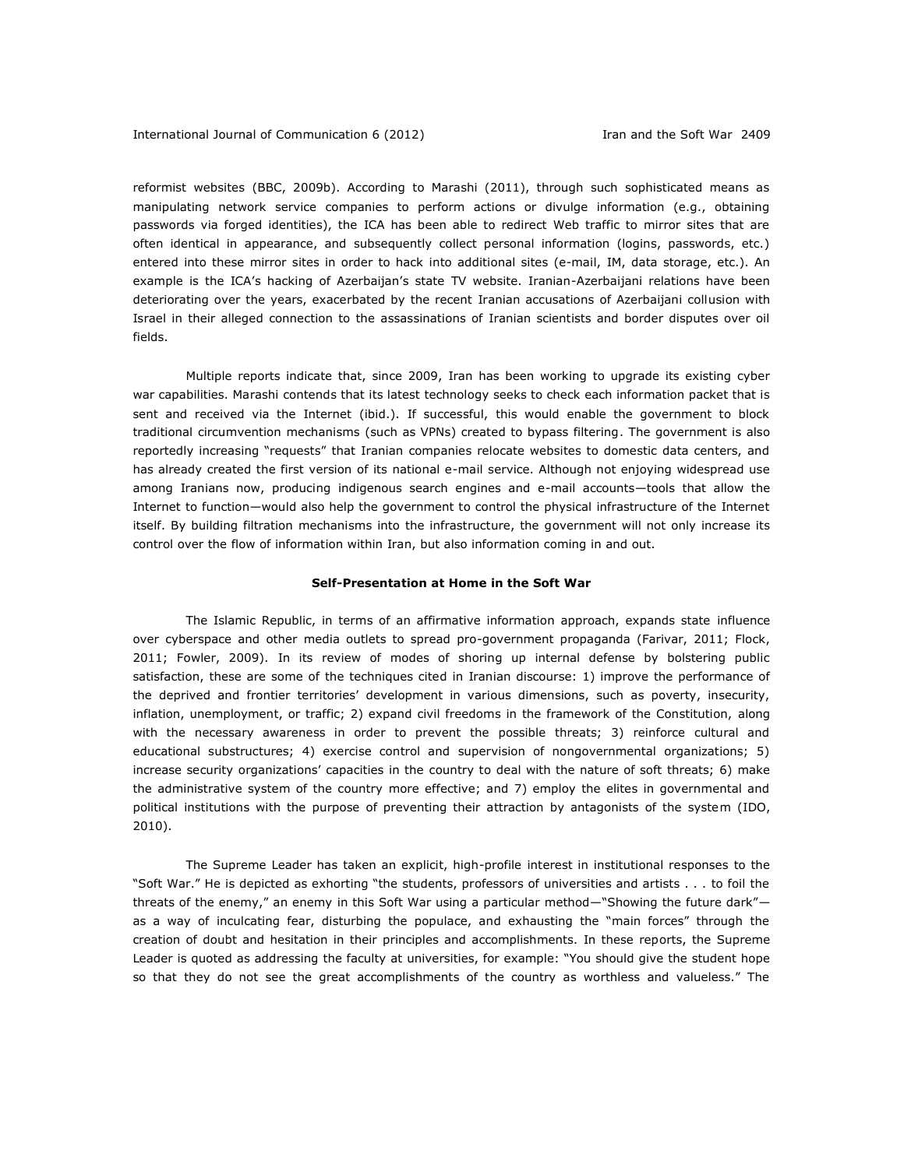reformist websites (BBC, 2009b). According to Marashi (2011), through such sophisticated means as manipulating network service companies to perform actions or divulge information (e.g., obtaining passwords via forged identities), the ICA has been able to redirect Web traffic to mirror sites that are often identical in appearance, and subsequently collect personal information (logins, passwords, etc.) entered into these mirror sites in order to hack into additional sites (e-mail, IM, data storage, etc.). An example is the ICA's hacking of Azerbaijan's state TV website. Iranian-Azerbaijani relations have been deteriorating over the years, exacerbated by the recent Iranian accusations of Azerbaijani collusion with Israel in their alleged connection to the assassinations of Iranian scientists and border disputes over oil fields.

Multiple reports indicate that, since 2009, Iran has been working to upgrade its existing cyber war capabilities. Marashi contends that its latest technology seeks to check each information packet that is sent and received via the Internet (ibid.). If successful, this would enable the government to block traditional circumvention mechanisms (such as VPNs) created to bypass filtering. The government is also reportedly increasing "requests" that Iranian companies relocate websites to domestic data centers, and has already created the first version of its national e-mail service. Although not enjoying widespread use among Iranians now, producing indigenous search engines and e-mail accounts—tools that allow the Internet to function—would also help the government to control the physical infrastructure of the Internet itself. By building filtration mechanisms into the infrastructure, the government will not only increase its control over the flow of information within Iran, but also information coming in and out.

#### **Self-Presentation at Home in the Soft War**

The Islamic Republic, in terms of an affirmative information approach, expands state influence over cyberspace and other media outlets to spread pro-government propaganda (Farivar, 2011; Flock, 2011; Fowler, 2009). In its review of modes of shoring up internal defense by bolstering public satisfaction, these are some of the techniques cited in Iranian discourse: 1) improve the performance of the deprived and frontier territories' development in various dimensions, such as poverty, insecurity, inflation, unemployment, or traffic; 2) expand civil freedoms in the framework of the Constitution, along with the necessary awareness in order to prevent the possible threats; 3) reinforce cultural and educational substructures; 4) exercise control and supervision of nongovernmental organizations; 5) increase security organizations' capacities in the country to deal with the nature of soft threats; 6) make the administrative system of the country more effective; and 7) employ the elites in governmental and political institutions with the purpose of preventing their attraction by antagonists of the system (IDO, 2010).

The Supreme Leader has taken an explicit, high-profile interest in institutional responses to the "Soft War." He is depicted as exhorting "the students, professors of universities and artists . . . to foil the threats of the enemy," an enemy in this Soft War using a particular method—"Showing the future dark" as a way of inculcating fear, disturbing the populace, and exhausting the "main forces" through the creation of doubt and hesitation in their principles and accomplishments. In these reports, the Supreme Leader is quoted as addressing the faculty at universities, for example: "You should give the student hope so that they do not see the great accomplishments of the country as worthless and valueless." The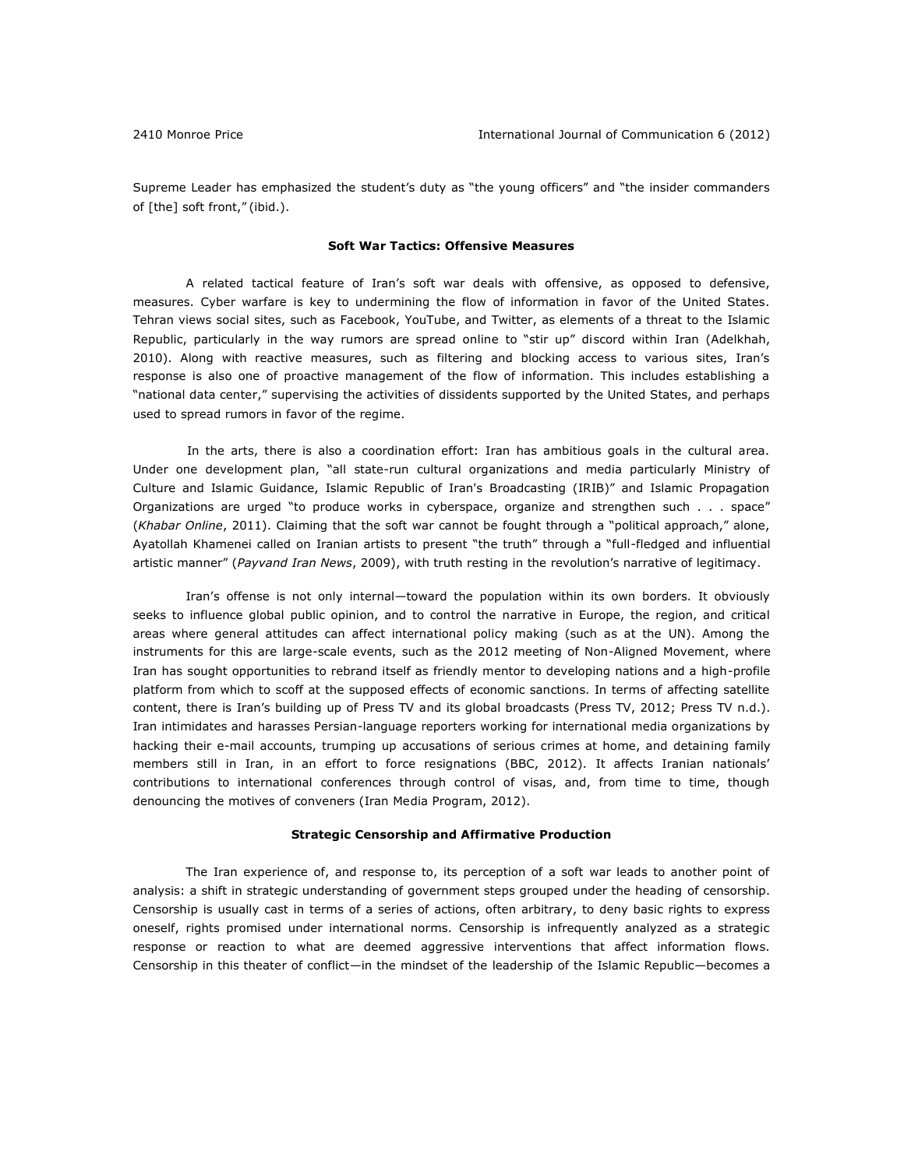Supreme Leader has emphasized the student's duty as "the young officers" and "the insider commanders of [the] soft front," (ibid.).

# **Soft War Tactics: Offensive Measures**

A related tactical feature of Iran's soft war deals with offensive, as opposed to defensive, measures. Cyber warfare is key to undermining the flow of information in favor of the United States. Tehran views social sites, such as Facebook, YouTube, and Twitter, as elements of a threat to the Islamic Republic, particularly in the way rumors are spread online to "stir up" discord within Iran (Adelkhah, 2010). Along with reactive measures, such as filtering and blocking access to various sites, Iran's response is also one of proactive management of the flow of information. This includes establishing a "national data center," supervising the activities of dissidents supported by the United States, and perhaps used to spread rumors in favor of the regime.

 In the arts, there is also a coordination effort: Iran has ambitious goals in the cultural area. Under one development plan, "all state-run cultural organizations and media particularly Ministry of Culture and Islamic Guidance, Islamic Republic of Iran's Broadcasting (IRIB)" and Islamic Propagation Organizations are urged "to produce works in cyberspace, organize and strengthen such . . . space" (*Khabar Online*, 2011). Claiming that the soft war cannot be fought through a "political approach," alone, Ayatollah Khamenei called on Iranian artists to present "the truth" through a "full-fledged and influential artistic manner" (*Payvand Iran News*, 2009), with truth resting in the revolution's narrative of legitimacy.

Iran's offense is not only internal—toward the population within its own borders. It obviously seeks to influence global public opinion, and to control the narrative in Europe, the region, and critical areas where general attitudes can affect international policy making (such as at the UN). Among the instruments for this are large-scale events, such as the 2012 meeting of Non-Aligned Movement, where Iran has sought opportunities to rebrand itself as friendly mentor to developing nations and a high-profile platform from which to scoff at the supposed effects of economic sanctions. In terms of affecting satellite content, there is Iran's building up of Press TV and its global broadcasts (Press TV, 2012; Press TV n.d.). Iran intimidates and harasses Persian-language reporters working for international media organizations by hacking their e-mail accounts, trumping up accusations of serious crimes at home, and detaining family members still in Iran, in an effort to force resignations (BBC, 2012). It affects Iranian nationals' contributions to international conferences through control of visas, and, from time to time, though denouncing the motives of conveners (Iran Media Program, 2012).

#### **Strategic Censorship and Affirmative Production**

The Iran experience of, and response to, its perception of a soft war leads to another point of analysis: a shift in strategic understanding of government steps grouped under the heading of censorship. Censorship is usually cast in terms of a series of actions, often arbitrary, to deny basic rights to express oneself, rights promised under international norms. Censorship is infrequently analyzed as a strategic response or reaction to what are deemed aggressive interventions that affect information flows. Censorship in this theater of conflict—in the mindset of the leadership of the Islamic Republic—becomes a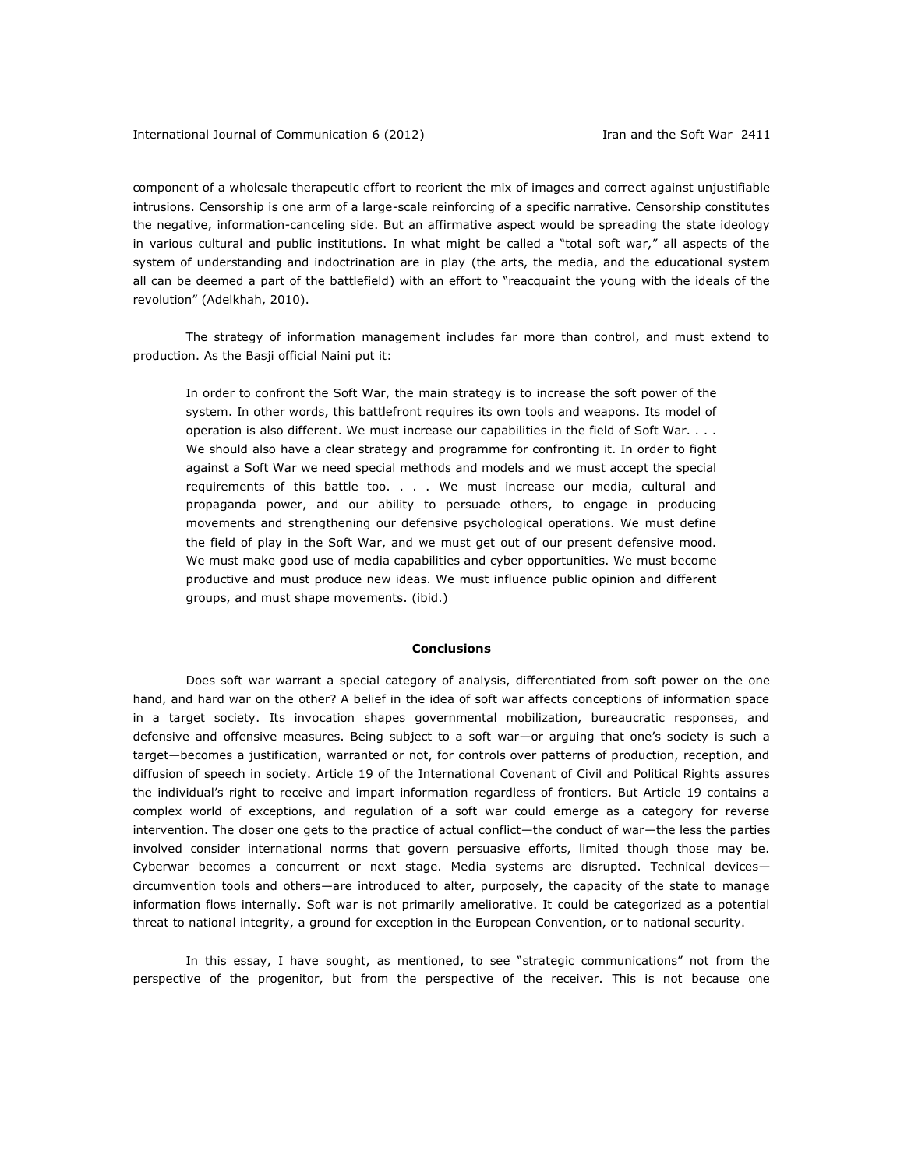component of a wholesale therapeutic effort to reorient the mix of images and correct against unjustifiable intrusions. Censorship is one arm of a large-scale reinforcing of a specific narrative. Censorship constitutes the negative, information-canceling side. But an affirmative aspect would be spreading the state ideology in various cultural and public institutions. In what might be called a "total soft war," all aspects of the system of understanding and indoctrination are in play (the arts, the media, and the educational system all can be deemed a part of the battlefield) with an effort to "reacquaint the young with the ideals of the revolution" (Adelkhah, 2010).

The strategy of information management includes far more than control, and must extend to production. As the Basji official Naini put it:

In order to confront the Soft War, the main strategy is to increase the soft power of the system. In other words, this battlefront requires its own tools and weapons. Its model of operation is also different. We must increase our capabilities in the field of Soft War. . . . We should also have a clear strategy and programme for confronting it. In order to fight against a Soft War we need special methods and models and we must accept the special requirements of this battle too. . . . We must increase our media, cultural and propaganda power, and our ability to persuade others, to engage in producing movements and strengthening our defensive psychological operations. We must define the field of play in the Soft War, and we must get out of our present defensive mood. We must make good use of media capabilities and cyber opportunities. We must become productive and must produce new ideas. We must influence public opinion and different groups, and must shape movements. (ibid.)

## **Conclusions**

Does soft war warrant a special category of analysis, differentiated from soft power on the one hand, and hard war on the other? A belief in the idea of soft war affects conceptions of information space in a target society. Its invocation shapes governmental mobilization, bureaucratic responses, and defensive and offensive measures. Being subject to a soft war—or arguing that one's society is such a target—becomes a justification, warranted or not, for controls over patterns of production, reception, and diffusion of speech in society. Article 19 of the International Covenant of Civil and Political Rights assures the individual's right to receive and impart information regardless of frontiers. But Article 19 contains a complex world of exceptions, and regulation of a soft war could emerge as a category for reverse intervention. The closer one gets to the practice of actual conflict—the conduct of war—the less the parties involved consider international norms that govern persuasive efforts, limited though those may be. Cyberwar becomes a concurrent or next stage. Media systems are disrupted. Technical devices circumvention tools and others—are introduced to alter, purposely, the capacity of the state to manage information flows internally. Soft war is not primarily ameliorative. It could be categorized as a potential threat to national integrity, a ground for exception in the European Convention, or to national security.

In this essay, I have sought, as mentioned, to see "strategic communications" not from the perspective of the progenitor, but from the perspective of the receiver. This is not because one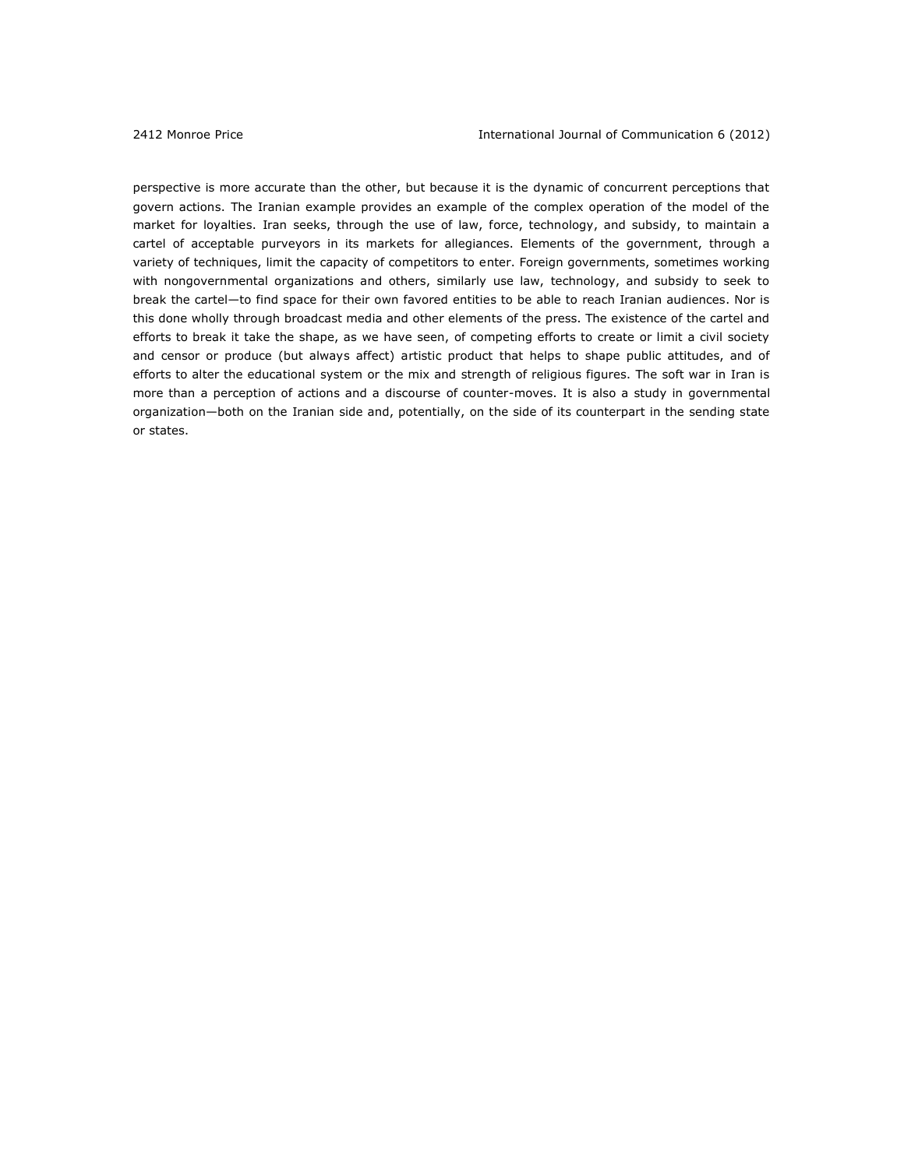perspective is more accurate than the other, but because it is the dynamic of concurrent perceptions that govern actions. The Iranian example provides an example of the complex operation of the model of the market for loyalties. Iran seeks, through the use of law, force, technology, and subsidy, to maintain a cartel of acceptable purveyors in its markets for allegiances. Elements of the government, through a variety of techniques, limit the capacity of competitors to enter. Foreign governments, sometimes working with nongovernmental organizations and others, similarly use law, technology, and subsidy to seek to break the cartel—to find space for their own favored entities to be able to reach Iranian audiences. Nor is this done wholly through broadcast media and other elements of the press. The existence of the cartel and efforts to break it take the shape, as we have seen, of competing efforts to create or limit a civil society and censor or produce (but always affect) artistic product that helps to shape public attitudes, and of efforts to alter the educational system or the mix and strength of religious figures. The soft war in Iran is more than a perception of actions and a discourse of counter-moves. It is also a study in governmental organization—both on the Iranian side and, potentially, on the side of its counterpart in the sending state or states.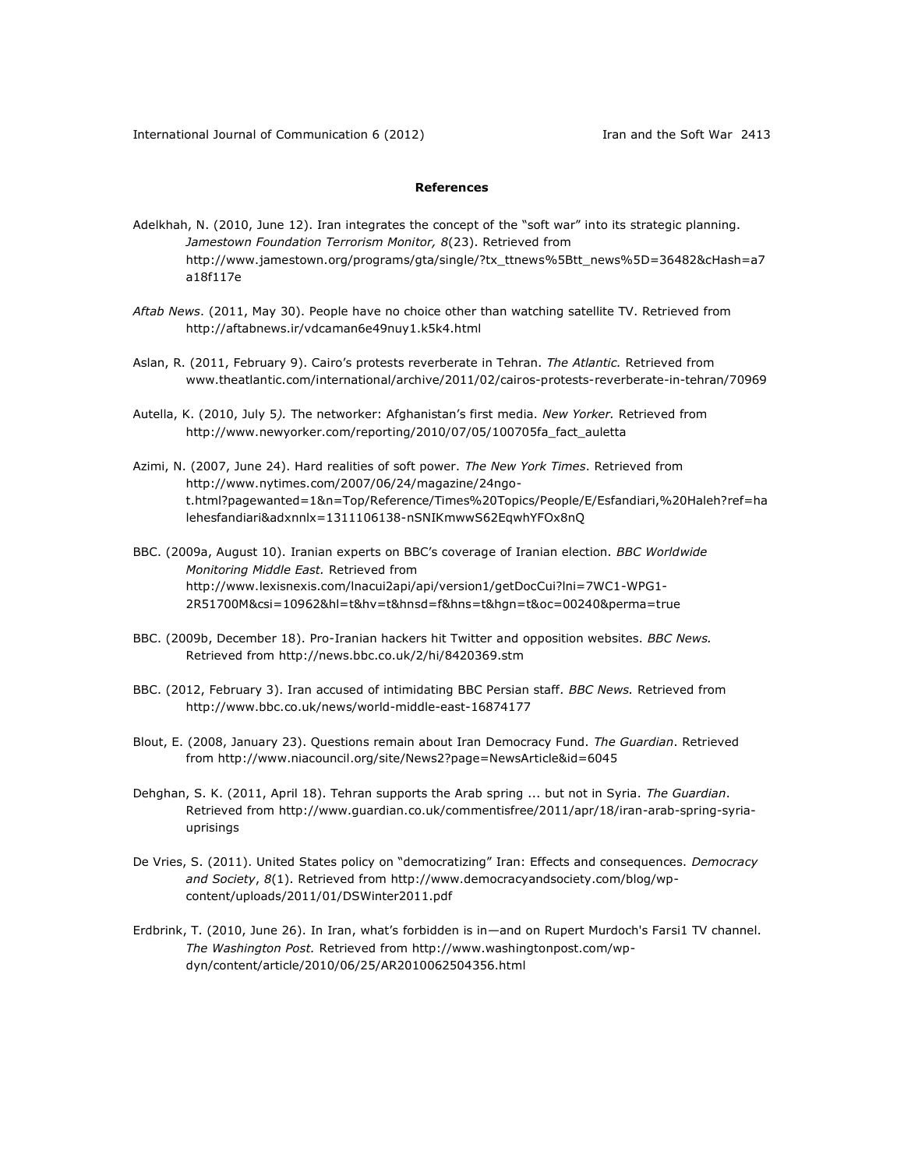## **References**

- Adelkhah, N. (2010, June 12). Iran integrates the concept of the "soft war" into its strategic planning. *Jamestown Foundation Terrorism Monitor, 8*(23). Retrieved from [http://www.jamestown.org/programs/gta/single/?tx\\_ttnews%5Btt\\_news%5D=36482&cHash=a7](http://www.jamestown.org/programs/gta/single/?tx_ttnews%5Btt_news%5D=36482&cHash=a7a18f117e) [a18f117e](http://www.jamestown.org/programs/gta/single/?tx_ttnews%5Btt_news%5D=36482&cHash=a7a18f117e)
- *Aftab News*. (2011, May 30). People have no choice other than watching satellite TV. Retrieved from <http://aftabnews.ir/vdcaman6e49nuy1.k5k4.html>
- Aslan, R. (2011, February 9). Cairo's protests reverberate in Tehran. *The Atlantic.* Retrieved from [www.theatlantic.com/international/archive/2011/02/cairos-protests-reverberate-in-tehran/70969](http://www.theatlantic.com/international/archive/2011/02/cairos-protests-reverberate-in-tehran/70969)
- Autella, K. (2010, July 5*).* The networker: Afghanistan's first media. *New Yorker.* Retrieved from [http://www.newyorker.com/reporting/2010/07/05/100705fa\\_fact\\_auletta](http://www.newyorker.com/reporting/2010/07/05/100705fa_fact_auletta)
- Azimi, N. (2007, June 24). Hard realities of soft power. *The New York Times*. Retrieved from [http://www.nytimes.com/2007/06/24/magazine/24ngo](http://www.nytimes.com/2007/06/24/magazine/24ngo-t.html?pagewanted=1&n=Top/Reference/Times%20Topics/People/E/Esfandiari,%20Haleh?ref=halehesfandiari&adxnnlx=1311106138-nSNIKmwwS62EqwhYFOx8nQ)[t.html?pagewanted=1&n=Top/Reference/Times%20Topics/People/E/Esfandiari,%20Haleh?ref=ha](http://www.nytimes.com/2007/06/24/magazine/24ngo-t.html?pagewanted=1&n=Top/Reference/Times%20Topics/People/E/Esfandiari,%20Haleh?ref=halehesfandiari&adxnnlx=1311106138-nSNIKmwwS62EqwhYFOx8nQ) [lehesfandiari&adxnnlx=1311106138-nSNIKmwwS62EqwhYFOx8nQ](http://www.nytimes.com/2007/06/24/magazine/24ngo-t.html?pagewanted=1&n=Top/Reference/Times%20Topics/People/E/Esfandiari,%20Haleh?ref=halehesfandiari&adxnnlx=1311106138-nSNIKmwwS62EqwhYFOx8nQ)
- BBC. (2009a, August 10). Iranian experts on BBC's coverage of Iranian election. *BBC Worldwide Monitoring Middle East.* Retrieved from [http://www.lexisnexis.com/lnacui2api/api/version1/getDocCui?lni=7WC1-WPG1-](http://www.lexisnexis.com/lnacui2api/api/version1/getDocCui?lni=7WC1-WPG1-2R51700M&csi=10962&hl=t&hv=t&hnsd=f&hns=t&hgn=t&oc=00240&perma=true) [2R51700M&csi=10962&hl=t&hv=t&hnsd=f&hns=t&hgn=t&oc=00240&perma=true](http://www.lexisnexis.com/lnacui2api/api/version1/getDocCui?lni=7WC1-WPG1-2R51700M&csi=10962&hl=t&hv=t&hnsd=f&hns=t&hgn=t&oc=00240&perma=true)
- BBC. (2009b, December 18). Pro-Iranian hackers hit Twitter and opposition websites. *BBC News.* Retrieved from<http://news.bbc.co.uk/2/hi/8420369.stm>
- BBC. (2012, February 3). Iran accused of intimidating BBC Persian staff*. BBC News.* Retrieved from <http://www.bbc.co.uk/news/world-middle-east-16874177>
- Blout, E. (2008, January 23). Questions remain about Iran Democracy Fund. *The Guardian*. Retrieved from<http://www.niacouncil.org/site/News2?page=NewsArticle&id=6045>
- Dehghan, S. K. (2011, April 18). Tehran supports the Arab spring ... but not in Syria. *The Guardian*. Retrieved from [http://www.guardian.co.uk/commentisfree/2011/apr/18/iran-arab-spring-syria](http://www.guardian.co.uk/commentisfree/2011/apr/18/iran-arab-spring-syria-uprisings)[uprisings](http://www.guardian.co.uk/commentisfree/2011/apr/18/iran-arab-spring-syria-uprisings)
- De Vries, S. (2011). United States policy on "democratizing" Iran: Effects and consequences. *Democracy and Society*, *8*(1). Retrieved from [http://www.democracyandsociety.com/blog/wp](http://www.democracyandsociety.com/blog/wp-content/uploads/2011/01/DSWinter2011.pdf)[content/uploads/2011/01/DSWinter2011.pdf](http://www.democracyandsociety.com/blog/wp-content/uploads/2011/01/DSWinter2011.pdf)
- Erdbrink, T. (2010, June 26). In Iran, what's forbidden is in—and on Rupert Murdoch's Farsi1 TV channel. *The Washington Post.* Retrieved from [http://www.washingtonpost.com/wp](http://www.washingtonpost.com/wp-dyn/content/article/2010/06/25/AR2010062504356.html)[dyn/content/article/2010/06/25/AR2010062504356.html](http://www.washingtonpost.com/wp-dyn/content/article/2010/06/25/AR2010062504356.html)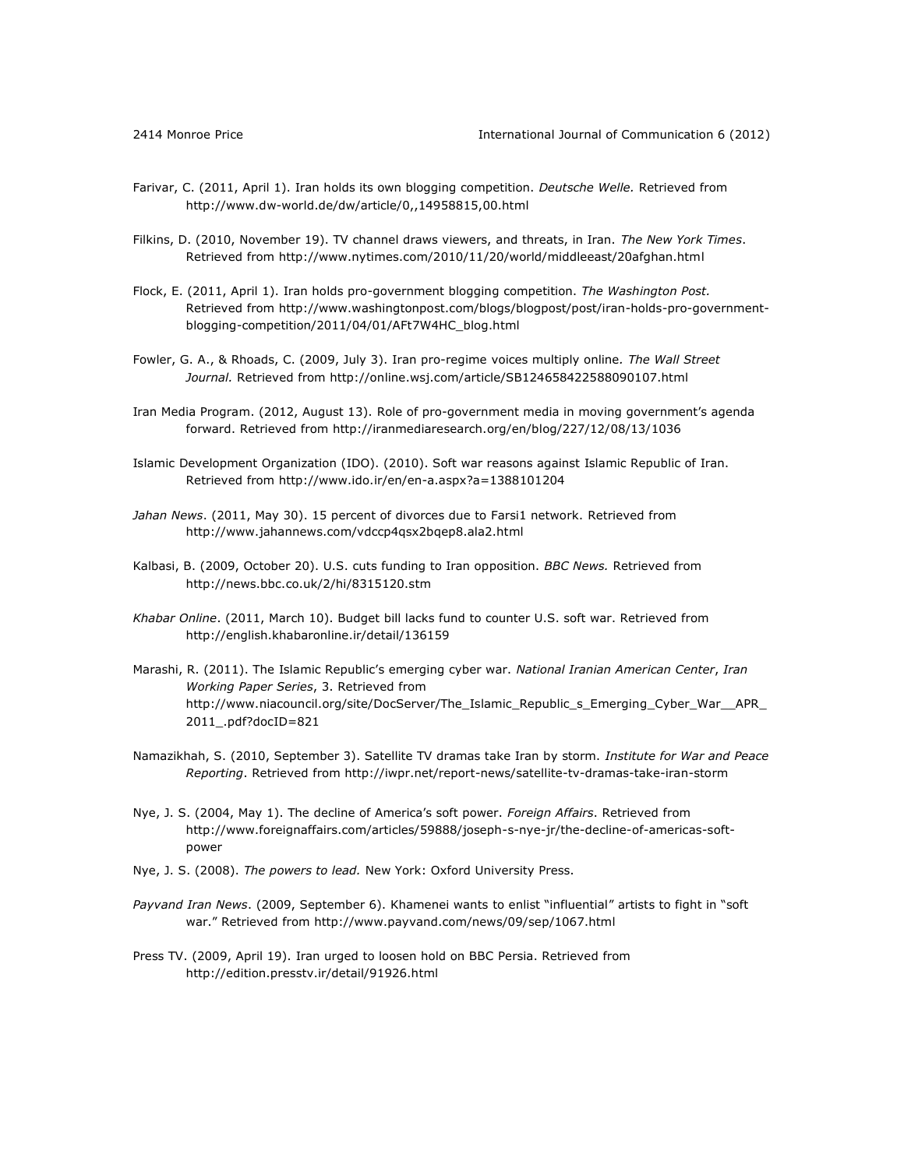- Farivar, C. (2011, April 1). Iran holds its own blogging competition. *Deutsche Welle.* Retrieved from <http://www.dw-world.de/dw/article/0,,14958815,00.html>
- Filkins, D. (2010, November 19). TV channel draws viewers, and threats, in Iran. *The New York Times*. Retrieved from<http://www.nytimes.com/2010/11/20/world/middleeast/20afghan.html>
- Flock, E. (2011, April 1). Iran holds pro-government blogging competition. *The Washington Post.*  Retrieved from [http://www.washingtonpost.com/blogs/blogpost/post/iran-holds-pro-government](http://www.washingtonpost.com/blogs/blogpost/post/iran-holds-pro-government-blogging-competition/2011/04/01/AFt7W4HC_blog.html)[blogging-competition/2011/04/01/AFt7W4HC\\_blog.html](http://www.washingtonpost.com/blogs/blogpost/post/iran-holds-pro-government-blogging-competition/2011/04/01/AFt7W4HC_blog.html)
- Fowler, G. A., & Rhoads, C. (2009, July 3). Iran pro-regime voices multiply online*. The Wall Street Journal.* Retrieved from<http://online.wsj.com/article/SB124658422588090107.html>
- Iran Media Program. (2012, August 13). Role of pro-government media in moving government's agenda forward. Retrieved from<http://iranmediaresearch.org/en/blog/227/12/08/13/1036>
- Islamic Development Organization (IDO). (2010). Soft war reasons against Islamic Republic of Iran. Retrieved from<http://www.ido.ir/en/en-a.aspx?a=1388101204>
- *Jahan News*. (2011, May 30). 15 percent of divorces due to Farsi1 network. Retrieved from <http://www.jahannews.com/vdccp4qsx2bqep8.ala2.html>
- Kalbasi, B. (2009, October 20). U.S. cuts funding to Iran opposition. *BBC News.* Retrieved from <http://news.bbc.co.uk/2/hi/8315120.stm>
- *Khabar Online*. (2011, March 10). Budget bill lacks fund to counter U.S. soft war. Retrieved from <http://english.khabaronline.ir/detail/136159>
- Marashi, R. (2011). The Islamic Republic's emerging cyber war. *National Iranian American Center*, *Iran Working Paper Series*, 3. Retrieved from [http://www.niacouncil.org/site/DocServer/The\\_Islamic\\_Republic\\_s\\_Emerging\\_Cyber\\_War\\_\\_APR\\_](http://www.niacouncil.org/site/DocServer/The_Islamic_Republic_s_Emerging_Cyber_War__APR_2011_.pdf?docID=821) [2011\\_.pdf?docID=821](http://www.niacouncil.org/site/DocServer/The_Islamic_Republic_s_Emerging_Cyber_War__APR_2011_.pdf?docID=821)
- Namazikhah, S. (2010, September 3). Satellite TV dramas take Iran by storm. *Institute for War and Peace Reporting*. Retrieved from<http://iwpr.net/report-news/satellite-tv-dramas-take-iran-storm>
- Nye, J. S. (2004, May 1). The decline of America's soft power. *Foreign Affairs*. Retrieved from [http://www.foreignaffairs.com/articles/59888/joseph-s-nye-jr/the-decline-of-americas-soft](http://www.foreignaffairs.com/articles/59888/joseph-s-nye-jr/the-decline-of-americas-soft-power)[power](http://www.foreignaffairs.com/articles/59888/joseph-s-nye-jr/the-decline-of-americas-soft-power)
- Nye, J. S. (2008). *The powers to lead.* New York: Oxford University Press.
- *Payvand Iran News*. (2009, September 6). Khamenei wants to enlist "influential" artists to fight in "soft war." Retrieved from <http://www.payvand.com/news/09/sep/1067.html>
- Press TV. (2009, April 19). Iran urged to loosen hold on BBC Persia. Retrieved from <http://edition.presstv.ir/detail/91926.html>